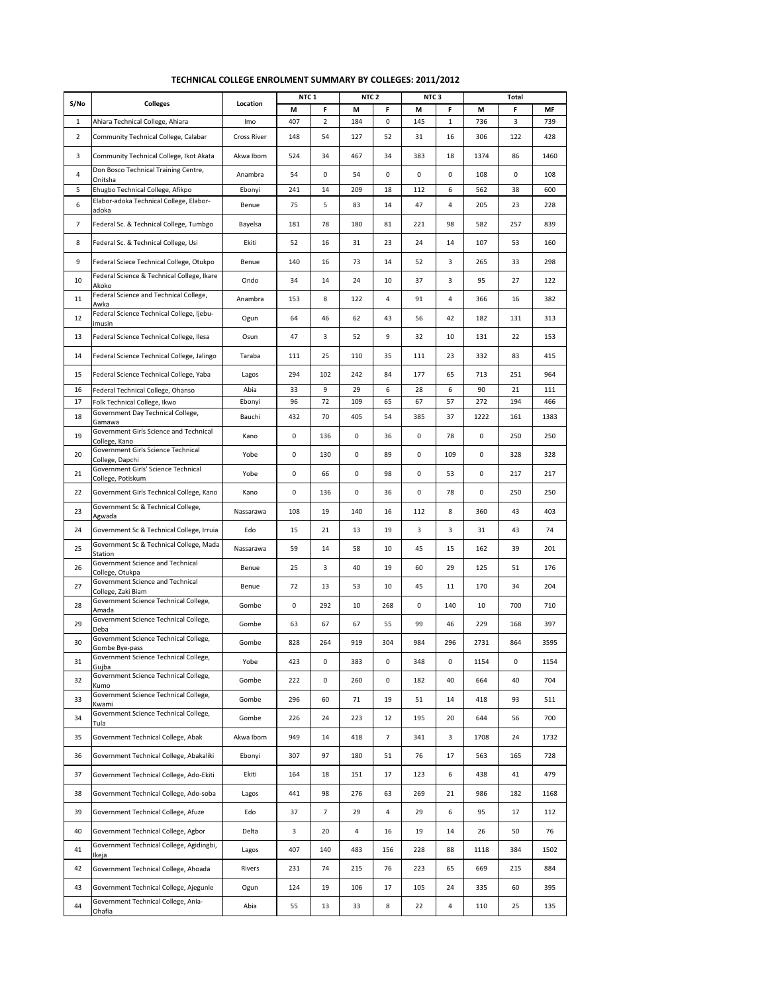|                |                                                                   |                    | NTC <sub>1</sub> |         | NTC <sub>2</sub> |                | NTC 3    |              |           | Total     |            |
|----------------|-------------------------------------------------------------------|--------------------|------------------|---------|------------------|----------------|----------|--------------|-----------|-----------|------------|
| S/No           | <b>Colleges</b>                                                   | Location           | М                | F       | М                | F              | М        | F            | М         | F         | MF         |
| 1              | Ahiara Technical College, Ahiara                                  | Imo                | 407              | 2       | 184              | 0              | 145      | $\mathbf{1}$ | 736       | 3         | 739        |
| $\overline{2}$ | Community Technical College, Calabar                              | <b>Cross River</b> | 148              | 54      | 127              | 52             | 31       | 16           | 306       | 122       | 428        |
| 3              | Community Technical College, Ikot Akata                           | Akwa Ibom          | 524              | 34      | 467              | 34             | 383      | 18           | 1374      | 86        | 1460       |
| 4              | Don Bosco Technical Training Centre,<br>Onitsha                   | Anambra            | 54               | 0       | 54               | 0              | 0        | 0            | 108       | 0         | 108        |
| 5              | Ehugbo Technical College, Afikpo                                  | Ebonyi             | 241              | 14      | 209              | 18             | 112      | 6            | 562       | 38        | 600        |
| 6              | Elabor-adoka Technical College, Elabor-<br>adoka                  | Benue              | 75               | 5       | 83               | 14             | 47       | 4            | 205       | 23        | 228        |
| $\overline{7}$ | Federal Sc. & Technical College, Tumbgo                           | Bayelsa            | 181              | 78      | 180              | 81             | 221      | 98           | 582       | 257       | 839        |
| 8              | Federal Sc. & Technical College, Usi                              | Ekiti              | 52               | 16      | 31               | 23             | 24       | 14           | 107       | 53        | 160        |
| 9              | Federal Sciece Technical College, Otukpo                          | Benue              | 140              | 16      | 73               | 14             | 52       | 3            | 265       | 33        | 298        |
| 10             | Federal Science & Technical College, Ikare<br>Akoko               | Ondo               | 34               | 14      | 24               | 10             | 37       | 3            | 95        | 27        | 122        |
| 11             | Federal Science and Technical College,<br>Awka                    | Anambra            | 153              | 8       | 122              | 4              | 91       | 4            | 366       | 16        | 382        |
| 12             | Federal Science Technical College, Ijebu-<br>imusin               | Ogun               | 64               | 46      | 62               | 43             | 56       | 42           | 182       | 131       | 313        |
| 13             | Federal Science Technical College, Ilesa                          | Osun               | 47               | 3       | 52               | 9              | 32       | 10           | 131       | 22        | 153        |
| 14             | Federal Science Technical College, Jalingo                        | Taraba             | 111              | 25      | 110              | 35             | 111      | 23           | 332       | 83        | 415        |
| 15             | Federal Science Technical College, Yaba                           | Lagos              | 294              | 102     | 242              | 84             | 177      | 65           | 713       | 251       | 964        |
| 16<br>17       | Federal Technical College, Ohanso<br>Folk Technical College, Ikwo | Abia               | 33               | 9<br>72 | 29               | 6<br>65        | 28<br>67 | 6<br>57      | 90<br>272 | 21<br>194 | 111<br>466 |
| 18             | Government Day Technical College,                                 | Ebonyi<br>Bauchi   | 96<br>432        | 70      | 109<br>405       | 54             | 385      | 37           | 1222      | 161       | 1383       |
|                | Gamawa<br>Government Girls Science and Technical                  |                    |                  |         |                  |                |          |              |           |           |            |
| 19             | College, Kano<br>Government Girls Science Technical               | Kano               | 0                | 136     | 0                | 36             | 0        | 78           | 0         | 250       | 250        |
| 20             | College, Dapchi<br>Government Girls' Science Technical            | Yobe               | 0                | 130     | 0                | 89             | 0        | 109          | 0         | 328       | 328        |
| 21             | College, Potiskum                                                 | Yobe               | 0                | 66      | 0                | 98             | 0        | 53           | 0         | 217       | 217        |
| 22             | Government Girls Technical College, Kano                          | Kano               | 0                | 136     | 0                | 36             | 0        | 78           | 0         | 250       | 250        |
| 23             | Government Sc & Technical College,<br>Agwada                      | Nassarawa          | 108              | 19      | 140              | 16             | 112      | 8            | 360       | 43        | 403        |
| 24             | Government Sc & Technical College, Irruia                         | Edo                | 15               | 21      | 13               | 19             | 3        | 3            | 31        | 43        | 74         |
| 25             | Government Sc & Technical College, Mada<br>Station                | Nassarawa          | 59               | 14      | 58               | 10             | 45       | 15           | 162       | 39        | 201        |
| 26             | Government Science and Technical<br>College, Otukpa               | Benue              | 25               | 3       | 40               | 19             | 60       | 29           | 125       | 51        | 176        |
| 27             | Government Science and Technical<br>College, Zaki Biam            | Benue              | 72               | 13      | 53               | 10             | 45       | 11           | 170       | 34        | 204        |
| 28             | Government Science Technical College,<br>Amada                    | Gombe              | 0                | 292     | 10               | 268            | 0        | 140          | 10        | 700       | 710        |
| 29             | Government Science Technical College,<br>Deba                     | Gombe              | 63               | 67      | 67               | 55             | 99       | 46           | 229       | 168       | 397        |
| 30             | Government Science Technical College,<br>Gombe Bye-pass           | Gombe              | 828              | 264     | 919              | 304            | 984      | 296          | 2731      | 864       | 3595       |
| 31             | Government Science Technical College,<br>Gujba                    | Yobe               | 423              | 0       | 383              | 0              | 348      | 0            | 1154      | 0         | 1154       |
| 32             | Government Science Technical College,                             | Gombe              | 222              | 0       | 260              | 0              | 182      | 40           | 664       | 40        | 704        |
| 33             | Kumo<br>Government Science Technical College,                     | Gombe              | 296              | 60      | 71               | 19             | 51       | 14           | 418       | 93        | 511        |
| 34             | Kwami<br>Government Science Technical College,                    | Gombe              | 226              | 24      | 223              | 12             | 195      | 20           | 644       | 56        | 700        |
| 35             | Tula<br>Government Technical College, Abak                        | Akwa Ibom          | 949              | 14      | 418              | $\overline{7}$ | 341      | 3            | 1708      | 24        | 1732       |
| 36             | Government Technical College, Abakaliki                           | Ebonyi             | 307              | 97      | 180              | 51             | 76       | 17           | 563       | 165       | 728        |
| 37             | Government Technical College, Ado-Ekiti                           | Ekiti              | 164              | 18      | 151              | 17             | 123      | 6            | 438       | 41        | 479        |
| 38             | Government Technical College, Ado-soba                            | Lagos              | 441              | 98      | 276              | 63             | 269      | 21           | 986       | 182       | 1168       |
| 39             | Government Technical College, Afuze                               | Edo                | 37               | 7       | 29               | 4              | 29       | 6            | 95        | 17        | 112        |
| 40             | Government Technical College, Agbor                               | Delta              | 3                | 20      | 4                | 16             | 19       | 14           | 26        | 50        | 76         |
|                | Government Technical College, Agidingbi,                          |                    |                  |         |                  |                |          |              |           |           |            |
| 41             | Ikeja                                                             | Lagos              | 407              | 140     | 483              | 156            | 228      | 88           | 1118      | 384       | 1502       |
| 42             | Government Technical College, Ahoada                              | Rivers             | 231              | 74      | 215              | 76             | 223      | 65           | 669       | 215       | 884        |
| 43             | Government Technical College, Ajegunle                            | Ogun               | 124              | 19      | 106              | 17             | 105      | 24           | 335       | 60        | 395        |
| 44             | Government Technical College, Ania-<br>Ohafia                     | Abia               | 55               | 13      | 33               | 8              | 22       | 4            | 110       | 25        | 135        |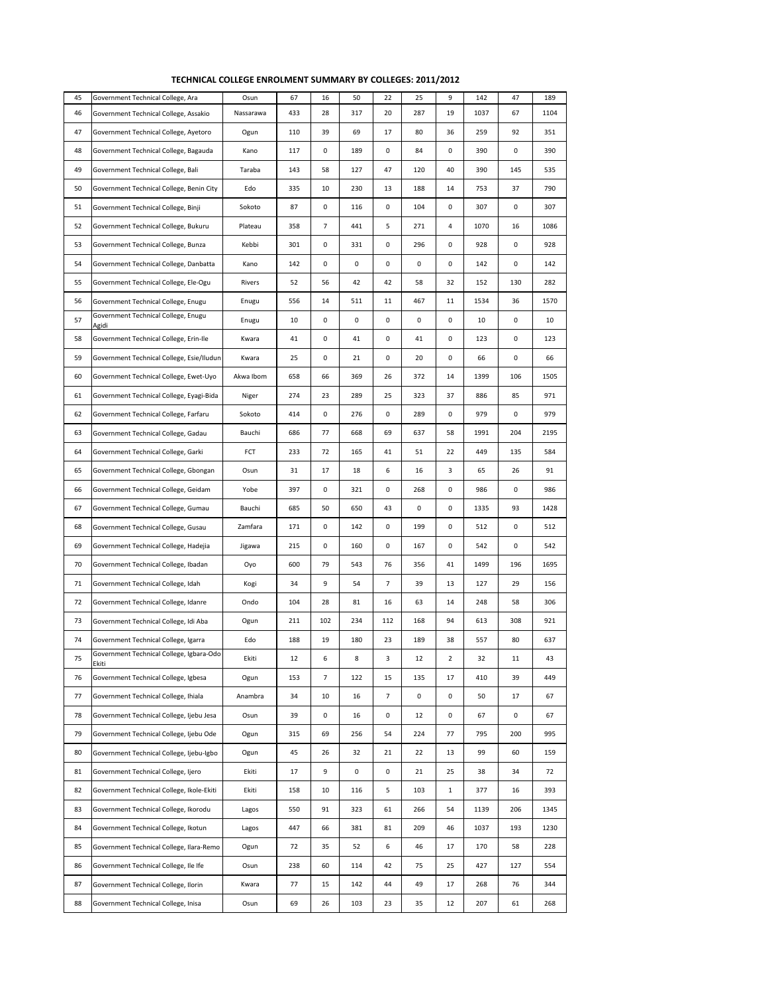| 45 | Government Technical College, Ara                 | Osun      | 67  | 16  | 50      | 22             | 25  | 9              | 142  | 47     | 189  |
|----|---------------------------------------------------|-----------|-----|-----|---------|----------------|-----|----------------|------|--------|------|
| 46 | Government Technical College, Assakio             | Nassarawa | 433 | 28  | 317     | 20             | 287 | 19             | 1037 | 67     | 1104 |
| 47 | Government Technical College, Ayetoro             | Ogun      | 110 | 39  | 69      | 17             | 80  | 36             | 259  | 92     | 351  |
| 48 | Government Technical College, Bagauda             | Kano      | 117 | 0   | 189     | 0              | 84  | 0              | 390  | 0      | 390  |
| 49 | Government Technical College, Bali                | Taraba    | 143 | 58  | 127     | 47             | 120 | 40             | 390  | 145    | 535  |
| 50 | Government Technical College, Benin City          | Edo       | 335 | 10  | 230     | 13             | 188 | 14             | 753  | 37     | 790  |
| 51 | Government Technical College, Binji               | Sokoto    | 87  | 0   | 116     | 0              | 104 | $\mathbf 0$    | 307  | 0      | 307  |
| 52 | Government Technical College, Bukuru              | Plateau   | 358 | 7   | 441     | 5              | 271 | $\overline{4}$ | 1070 | 16     | 1086 |
| 53 | Government Technical College, Bunza               | Kebbi     | 301 | 0   | 331     | 0              | 296 | $\mathbf 0$    | 928  | 0      | 928  |
| 54 | Government Technical College, Danbatta            | Kano      | 142 | 0   | 0       | 0              | 0   | 0              | 142  | 0      | 142  |
| 55 | Government Technical College, Ele-Ogu             | Rivers    | 52  | 56  | 42      | 42             | 58  | 32             | 152  | 130    | 282  |
| 56 | Government Technical College, Enugu               | Enugu     | 556 | 14  | 511     | 11             | 467 | 11             | 1534 | 36     | 1570 |
| 57 | Government Technical College, Enugu<br>Agidi      | Enugu     | 10  | 0   | 0       | 0              | 0   | $\mathbf 0$    | 10   | 0      | 10   |
| 58 | Government Technical College, Erin-Ile            | Kwara     | 41  | 0   | 41      | 0              | 41  | 0              | 123  | 0      | 123  |
| 59 | Government Technical College, Esie/Iludun         | Kwara     | 25  | 0   | 21      | 0              | 20  | $\mathbf 0$    | 66   | 0      | 66   |
| 60 | Government Technical College, Ewet-Uyo            | Akwa Ibom | 658 | 66  | 369     | 26             | 372 | 14             | 1399 | 106    | 1505 |
| 61 | Government Technical College, Eyagi-Bida          | Niger     | 274 | 23  | 289     | 25             | 323 | 37             | 886  | 85     | 971  |
| 62 | Government Technical College, Farfaru             | Sokoto    | 414 | 0   | 276     | 0              | 289 | $\mathbf 0$    | 979  | 0      | 979  |
| 63 | Government Technical College, Gadau               | Bauchi    | 686 | 77  | 668     | 69             | 637 | 58             | 1991 | 204    | 2195 |
| 64 | Government Technical College, Garki               | FCT       | 233 | 72  | 165     | 41             | 51  | 22             | 449  | 135    | 584  |
| 65 | Government Technical College, Gbongan             | Osun      | 31  | 17  | 18      | 6              | 16  | 3              | 65   | 26     | 91   |
| 66 | Government Technical College, Geidam              | Yobe      | 397 | 0   | 321     | 0              | 268 | 0              | 986  | 0      | 986  |
| 67 | Government Technical College, Gumau               | Bauchi    | 685 | 50  | 650     | 43             | 0   | $\mathbf 0$    | 1335 | 93     | 1428 |
| 68 | Government Technical College, Gusau               | Zamfara   | 171 | 0   | 142     | 0              | 199 | 0              | 512  | 0      | 512  |
| 69 | Government Technical College, Hadejia             | Jigawa    | 215 | 0   | 160     | 0              | 167 | $\mathbf 0$    | 542  | 0      | 542  |
| 70 | Government Technical College, Ibadan              | Oyo       | 600 | 79  | 543     | 76             | 356 | 41             | 1499 | 196    | 1695 |
| 71 | Government Technical College, Idah                | Kogi      | 34  | 9   | 54      | $\overline{7}$ | 39  | 13             | 127  | 29     | 156  |
| 72 | Government Technical College, Idanre              | Ondo      | 104 | 28  | 81      | 16             | 63  | 14             | 248  | 58     | 306  |
| 73 | Government Technical College, Idi Aba             | Ogun      | 211 | 102 | 234     | 112            | 168 | 94             | 613  | 308    | 921  |
| 74 | Government Technical College, Igarra              | Edo       | 188 | 19  | 180     | 23             | 189 | 38             | 557  | 80     | 637  |
| 75 | Government Technical College, Igbara-Odo<br>Ekiti | Ekiti     | 12  | 6   | $\bf 8$ | 3              | 12  | $\overline{2}$ | 32   | $11\,$ | 43   |
| 76 | Government Technical College, Igbesa              | Ogun      | 153 | 7   | 122     | 15             | 135 | 17             | 410  | 39     | 449  |
| 77 | Government Technical College, Ihiala              | Anambra   | 34  | 10  | 16      | $\overline{7}$ | 0   | 0              | 50   | 17     | 67   |
| 78 | Government Technical College, Ijebu Jesa          | Osun      | 39  | 0   | 16      | 0              | 12  | 0              | 67   | 0      | 67   |
| 79 | Government Technical College, Ijebu Ode           | Ogun      | 315 | 69  | 256     | 54             | 224 | 77             | 795  | 200    | 995  |
| 80 | Government Technical College, Ijebu-Igbo          | Ogun      | 45  | 26  | 32      | 21             | 22  | 13             | 99   | 60     | 159  |
| 81 | Government Technical College, Ijero               | Ekiti     | 17  | 9   | 0       | 0              | 21  | 25             | 38   | 34     | 72   |
| 82 | Government Technical College, Ikole-Ekiti         | Ekiti     | 158 | 10  | 116     | 5              | 103 | $\mathbf{1}$   | 377  | 16     | 393  |
| 83 | Government Technical College, Ikorodu             | Lagos     | 550 | 91  | 323     | 61             | 266 | 54             | 1139 | 206    | 1345 |
| 84 | Government Technical College, Ikotun              | Lagos     | 447 | 66  | 381     | 81             | 209 | 46             | 1037 | 193    | 1230 |
| 85 | Government Technical College, Ilara-Remo          | Ogun      | 72  | 35  | 52      | 6              | 46  | 17             | 170  | 58     | 228  |
| 86 | Government Technical College, Ile Ife             | Osun      | 238 | 60  | 114     | 42             | 75  | 25             | 427  | 127    | 554  |
| 87 | Government Technical College, Ilorin              | Kwara     | 77  | 15  | 142     | 44             | 49  | 17             | 268  | 76     | 344  |
| 88 | Government Technical College, Inisa               | Osun      | 69  | 26  | 103     | 23             | 35  | 12             | 207  | 61     | 268  |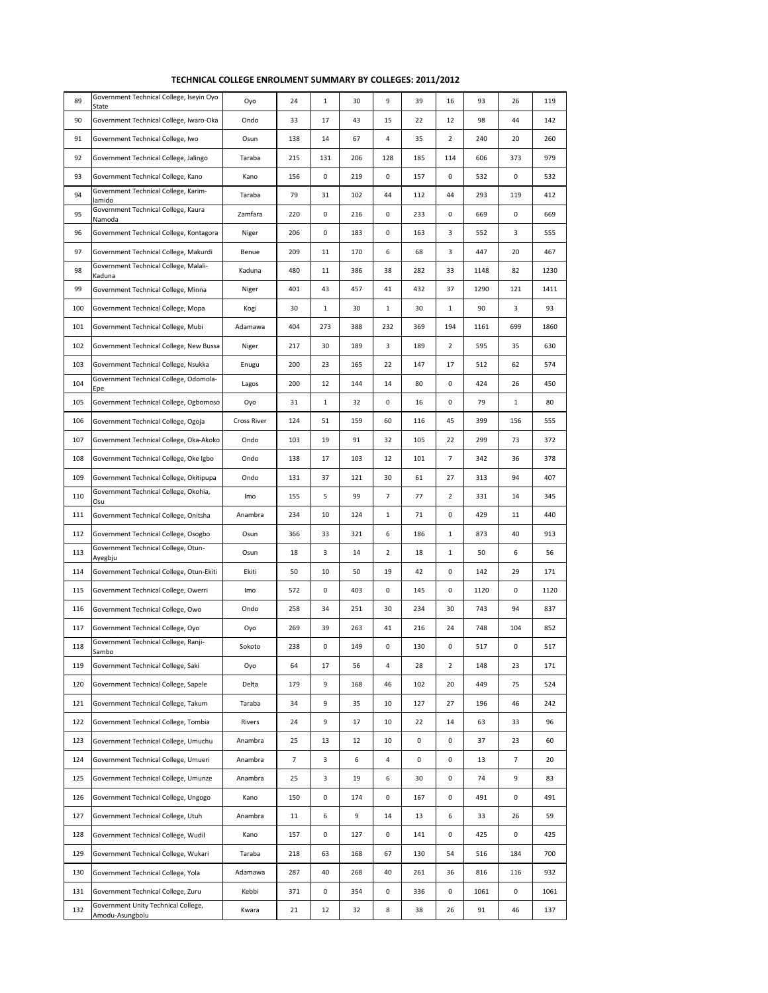| 89  | Government Technical College, Iseyin Oyo<br>State      | Oyo                | 24  | $\mathbf{1}$ | 30  | 9            | 39  | 16           | 93   | 26  | 119  |
|-----|--------------------------------------------------------|--------------------|-----|--------------|-----|--------------|-----|--------------|------|-----|------|
| 90  | Government Technical College, Iwaro-Oka                | Ondo               | 33  | 17           | 43  | 15           | 22  | 12           | 98   | 44  | 142  |
| 91  | Government Technical College, Iwo                      | Osun               | 138 | 14           | 67  | 4            | 35  | 2            | 240  | 20  | 260  |
| 92  | Government Technical College, Jalingo                  | Taraba             | 215 | 131          | 206 | 128          | 185 | 114          | 606  | 373 | 979  |
| 93  | Government Technical College, Kano                     | Kano               | 156 | 0            | 219 | 0            | 157 | 0            | 532  | 0   | 532  |
| 94  | Government Technical College, Karim-<br>lamido         | Taraba             | 79  | 31           | 102 | 44           | 112 | 44           | 293  | 119 | 412  |
| 95  | Government Technical College, Kaura<br>Namoda          | Zamfara            | 220 | 0            | 216 | 0            | 233 | 0            | 669  | 0   | 669  |
| 96  | Government Technical College, Kontagora                | Niger              | 206 | 0            | 183 | 0            | 163 | 3            | 552  | 3   | 555  |
| 97  | Government Technical College, Makurdi                  | Benue              | 209 | 11           | 170 | 6            | 68  | 3            | 447  | 20  | 467  |
| 98  | Government Technical College, Malali-<br>Kaduna        | Kaduna             | 480 | 11           | 386 | 38           | 282 | 33           | 1148 | 82  | 1230 |
| 99  | Government Technical College, Minna                    | Niger              | 401 | 43           | 457 | 41           | 432 | 37           | 1290 | 121 | 1411 |
| 100 | Government Technical College, Mopa                     | Kogi               | 30  | $\mathbf{1}$ | 30  | $\mathbf{1}$ | 30  | $\mathbf{1}$ | 90   | 3   | 93   |
| 101 | Government Technical College, Mubi                     | Adamawa            | 404 | 273          | 388 | 232          | 369 | 194          | 1161 | 699 | 1860 |
| 102 | Government Technical College, New Bussa                | Niger              | 217 | 30           | 189 | 3            | 189 | 2            | 595  | 35  | 630  |
| 103 | Government Technical College, Nsukka                   | Enugu              | 200 | 23           | 165 | 22           | 147 | 17           | 512  | 62  | 574  |
| 104 | Government Technical College, Odomola-<br>Epe          | Lagos              | 200 | 12           | 144 | 14           | 80  | 0            | 424  | 26  | 450  |
| 105 | Government Technical College, Ogbomoso                 | Oyo                | 31  | $\mathbf{1}$ | 32  | 0            | 16  | 0            | 79   | 1   | 80   |
| 106 | Government Technical College, Ogoja                    | <b>Cross River</b> | 124 | 51           | 159 | 60           | 116 | 45           | 399  | 156 | 555  |
| 107 | Government Technical College, Oka-Akoko                | Ondo               | 103 | 19           | 91  | 32           | 105 | 22           | 299  | 73  | 372  |
| 108 | Government Technical College, Oke Igbo                 | Ondo               | 138 | 17           | 103 | 12           | 101 | 7            | 342  | 36  | 378  |
| 109 | Government Technical College, Okitipupa                | Ondo               | 131 | 37           | 121 | 30           | 61  | 27           | 313  | 94  | 407  |
| 110 | Government Technical College, Okohia,<br>Osu           | Imo                | 155 | 5            | 99  | 7            | 77  | 2            | 331  | 14  | 345  |
| 111 | Government Technical College, Onitsha                  | Anambra            | 234 | 10           | 124 | $\mathbf{1}$ | 71  | 0            | 429  | 11  | 440  |
| 112 | Government Technical College, Osogbo                   | Osun               | 366 | 33           | 321 | 6            | 186 | $\mathbf{1}$ | 873  | 40  | 913  |
| 113 | Government Technical College, Otun-<br>Ayegbju         | Osun               | 18  | 3            | 14  | 2            | 18  | $\mathbf{1}$ | 50   | 6   | 56   |
| 114 | Government Technical College, Otun-Ekiti               | Ekiti              | 50  | 10           | 50  | 19           | 42  | 0            | 142  | 29  | 171  |
| 115 | Government Technical College, Owerri                   | Imo                | 572 | 0            | 403 | 0            | 145 | 0            | 1120 | 0   | 1120 |
| 116 | Government Technical College, Owo                      | Ondo               | 258 | 34           | 251 | 30           | 234 | 30           | 743  | 94  | 837  |
| 117 | Government Technical College, Oyo                      | Oyo                | 269 | 39           | 263 | 41           | 216 | 24           | 748  | 104 | 852  |
| 118 | Government Technical College, Ranji-<br>Sambo          | Sokoto             | 238 | 0            | 149 | 0            | 130 | 0            | 517  | 0   | 517  |
| 119 | Government Technical College, Saki                     | Oyo                | 64  | 17           | 56  | 4            | 28  | 2            | 148  | 23  | 171  |
| 120 | Government Technical College, Sapele                   | Delta              | 179 | 9            | 168 | 46           | 102 | 20           | 449  | 75  | 524  |
| 121 | Government Technical College, Takum                    | Taraba             | 34  | 9            | 35  | 10           | 127 | 27           | 196  | 46  | 242  |
| 122 | Government Technical College, Tombia                   | Rivers             | 24  | 9            | 17  | 10           | 22  | 14           | 63   | 33  | 96   |
| 123 | Government Technical College, Umuchu                   | Anambra            | 25  | 13           | 12  | 10           | 0   | 0            | 37   | 23  | 60   |
| 124 | Government Technical College, Umueri                   | Anambra            | 7   | 3            | 6   | 4            | 0   | 0            | 13   | 7   | 20   |
| 125 | Government Technical College, Umunze                   | Anambra            | 25  | 3            | 19  | 6            | 30  | 0            | 74   | 9   | 83   |
| 126 | Government Technical College, Ungogo                   | Kano               | 150 | 0            | 174 | 0            | 167 | 0            | 491  | 0   | 491  |
| 127 | Government Technical College, Utuh                     | Anambra            | 11  | 6            | 9   | 14           | 13  | 6            | 33   | 26  | 59   |
| 128 | Government Technical College, Wudil                    | Kano               | 157 | 0            | 127 | 0            | 141 | 0            | 425  | 0   | 425  |
| 129 | Government Technical College, Wukari                   | Taraba             | 218 | 63           | 168 | 67           | 130 | 54           | 516  | 184 | 700  |
| 130 | Government Technical College, Yola                     | Adamawa            | 287 | 40           | 268 | 40           | 261 | 36           | 816  | 116 | 932  |
| 131 | Government Technical College, Zuru                     | Kebbi              | 371 | 0            | 354 | 0            | 336 | 0            | 1061 | 0   | 1061 |
| 132 | Government Unity Technical College,<br>Amodu-Asungbolu | Kwara              | 21  | 12           | 32  | 8            | 38  | 26           | 91   | 46  | 137  |
|     |                                                        |                    |     |              |     |              |     |              |      |     |      |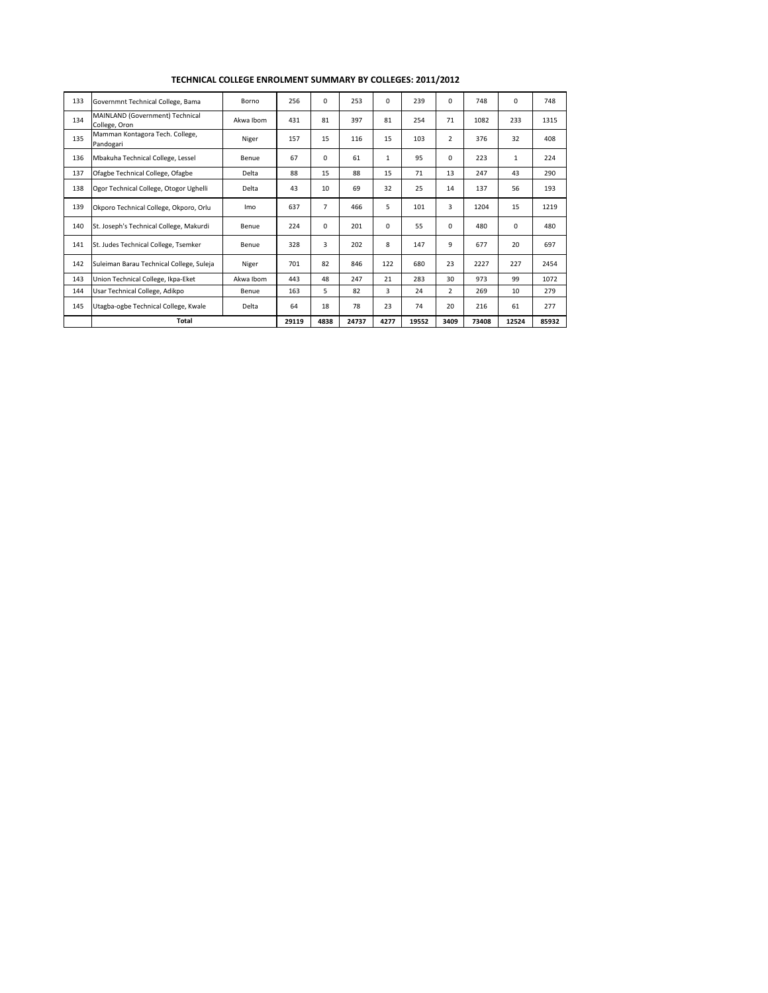| 133 | Governmnt Technical College, Bama                | Borno     | 256   | $\Omega$ | 253   | 0            | 239   | $\Omega$       | 748   | $\Omega$     | 748   |
|-----|--------------------------------------------------|-----------|-------|----------|-------|--------------|-------|----------------|-------|--------------|-------|
| 134 | MAINLAND (Government) Technical<br>College, Oron | Akwa Ibom | 431   | 81       | 397   | 81           | 254   | 71             | 1082  | 233          | 1315  |
| 135 | Mamman Kontagora Tech. College,<br>Pandogari     | Niger     | 157   | 15       | 116   | 15           | 103   | $\overline{2}$ | 376   | 32           | 408   |
| 136 | Mbakuha Technical College, Lessel                | Benue     | 67    | $\Omega$ | 61    | $\mathbf{1}$ | 95    | $\Omega$       | 223   | $\mathbf{1}$ | 224   |
| 137 | Ofagbe Technical College, Ofagbe                 | Delta     | 88    | 15       | 88    | 15           | 71    | 13             | 247   | 43           | 290   |
| 138 | Ogor Technical College, Otogor Ughelli           | Delta     | 43    | 10       | 69    | 32           | 25    | 14             | 137   | 56           | 193   |
| 139 | Okporo Technical College, Okporo, Orlu           | Imo       | 637   | 7        | 466   | 5            | 101   | 3              | 1204  | 15           | 1219  |
| 140 | St. Joseph's Technical College, Makurdi          | Benue     | 224   | $\Omega$ | 201   | $\Omega$     | 55    | $\Omega$       | 480   | 0            | 480   |
| 141 | St. Judes Technical College, Tsemker             | Benue     | 328   | 3        | 202   | 8            | 147   | 9              | 677   | 20           | 697   |
| 142 | Suleiman Barau Technical College, Suleja         | Niger     | 701   | 82       | 846   | 122          | 680   | 23             | 2227  | 227          | 2454  |
| 143 | Union Technical College, Ikpa-Eket               | Akwa Ibom | 443   | 48       | 247   | 21           | 283   | 30             | 973   | 99           | 1072  |
| 144 | Usar Technical College, Adikpo                   | Benue     | 163   | 5        | 82    | 3            | 24    | 2              | 269   | 10           | 279   |
| 145 | Utagba-ogbe Technical College, Kwale             | Delta     | 64    | 18       | 78    | 23           | 74    | 20             | 216   | 61           | 277   |
|     | Total                                            |           | 29119 | 4838     | 24737 | 4277         | 19552 | 3409           | 73408 | 12524        | 85932 |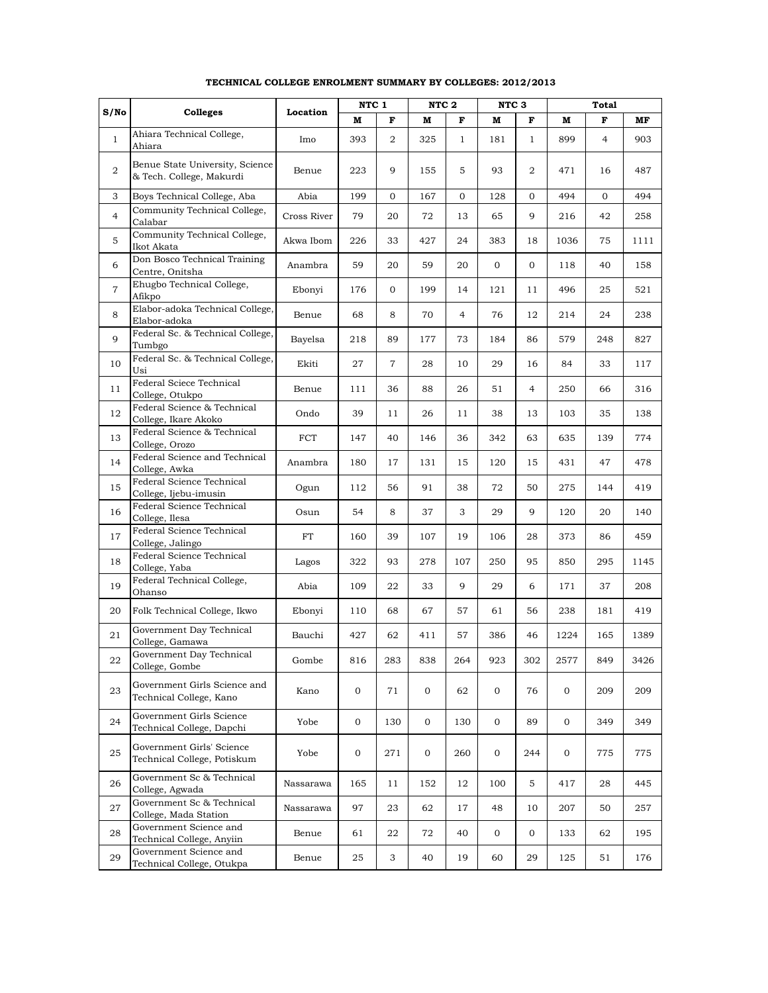|                |                                                             |             | NTC 1       |                | NTC <sub>2</sub> |                | NTC <sub>3</sub> |                |             | Total          |      |
|----------------|-------------------------------------------------------------|-------------|-------------|----------------|------------------|----------------|------------------|----------------|-------------|----------------|------|
| S/No           | Colleges                                                    | Location    | M           | F              | M                | F              | М                | F              | M           | F              | MF   |
| $\mathbf{1}$   | Ahiara Technical College,<br>Ahiara                         | Imo         | 393         | $\overline{2}$ | 325              | $\mathbf{1}$   | 181              | $\mathbf{1}$   | 899         | $\overline{4}$ | 903  |
| $\overline{2}$ | Benue State University, Science<br>& Tech. College, Makurdi | Benue       | 223         | 9              | 155              | 5              | 93               | 2              | 471         | 16             | 487  |
| 3              | Boys Technical College, Aba                                 | Abia        | 199         | 0              | 167              | 0              | 128              | $\mathbf{0}$   | 494         | $\mathbf{0}$   | 494  |
| $\overline{4}$ | Community Technical College,<br>Calabar                     | Cross River | 79          | 20             | 72               | 13             | 65               | 9              | 216         | 42             | 258  |
| 5              | Community Technical College,<br>Ikot Akata                  | Akwa Ibom   | 226         | 33             | 427              | 24             | 383              | 18             | 1036        | 75             | 1111 |
| 6              | Don Bosco Technical Training<br>Centre, Onitsha             | Anambra     | 59          | 20             | 59               | 20             | $\mathbf 0$      | $\mathbf{0}$   | 118         | 40             | 158  |
| $\overline{7}$ | Ehugbo Technical College,<br>Afikpo                         | Ebonyi      | 176         | $\overline{0}$ | 199              | 14             | 121              | 11             | 496         | 25             | 521  |
| 8              | Elabor-adoka Technical College,<br>Elabor-adoka             | Benue       | 68          | 8              | 70               | $\overline{4}$ | 76               | 12             | 214         | 24             | 238  |
| 9              | Federal Sc. & Technical College,<br>Tumbgo                  | Bayelsa     | 218         | 89             | 177              | 73             | 184              | 86             | 579         | 248            | 827  |
| 10             | Federal Sc. & Technical College,<br>Usi                     | Ekiti       | 27          | $\overline{7}$ | 28               | 10             | 29               | 16             | 84          | 33             | 117  |
| 11             | Federal Sciece Technical<br>College, Otukpo                 | Benue       | 111         | 36             | 88               | 26             | 51               | $\overline{4}$ | 250         | 66             | 316  |
| 12             | Federal Science & Technical<br>College, Ikare Akoko         | Ondo        | 39          | 11             | 26               | 11             | 38               | 13             | 103         | 35             | 138  |
| 13             | Federal Science & Technical<br>College, Orozo               | FCT         | 147         | 40             | 146              | 36             | 342              | 63             | 635         | 139            | 774  |
| 14             | Federal Science and Technical<br>College, Awka              | Anambra     | 180         | 17             | 131              | 15             | 120              | 15             | 431         | 47             | 478  |
| 15             | Federal Science Technical<br>College, Ijebu-imusin          | Ogun        | 112         | 56             | 91               | 38             | 72               | 50             | 275         | 144            | 419  |
| 16             | Federal Science Technical<br>College, Ilesa                 | Osun        | 54          | 8              | 37               | 3              | 29               | 9              | 120         | 20             | 140  |
| 17             | Federal Science Technical<br>College, Jalingo               | FT          | 160         | 39             | 107              | 19             | 106              | 28             | 373         | 86             | 459  |
| 18             | Federal Science Technical<br>College, Yaba                  | Lagos       | 322         | 93             | 278              | 107            | 250              | 95             | 850         | 295            | 1145 |
| 19             | Federal Technical College,<br>Ohanso                        | Abia        | 109         | 22             | 33               | 9              | 29               | 6              | 171         | 37             | 208  |
| 20             | Folk Technical College, Ikwo                                | Ebonyi      | 110         | 68             | 67               | 57             | 61               | 56             | 238         | 181            | 419  |
| 21             | Government Day Technical<br>College, Gamawa                 | Bauchi      | 427         | 62             | 411              | 57             | 386              | 46             | 1224        | 165            | 1389 |
| 22             | Government Day Technical<br>College, Gombe                  | Gombe       | 816         | 283            | 838              | 264            | 923              | 302            | 2577        | 849            | 3426 |
| 23             | Government Girls Science and<br>Technical College, Kano     | Kano        | $\mathbf 0$ | 71             | $\mathbf{0}$     | 62             | $\mathbf 0$      | 76             | 0           | 209            | 209  |
| 24             | Government Girls Science<br>Technical College, Dapchi       | Yobe        | $\mathbf 0$ | 130            | $\mathbf{0}$     | 130            | 0                | 89             | $\mathbf 0$ | 349            | 349  |
| 25             | Government Girls' Science<br>Technical College, Potiskum    | Yobe        | $\mathbf 0$ | 271            | $\mathbf{0}$     | 260            | $\mathbf 0$      | 244            | $\mathbf 0$ | 775            | 775  |
| 26             | Government Sc & Technical<br>College, Agwada                | Nassarawa   | 165         | 11             | 152              | 12             | 100              | 5              | 417         | 28             | 445  |
| 27             | Government Sc & Technical<br>College, Mada Station          | Nassarawa   | 97          | 23             | 62               | 17             | 48               | 10             | 207         | 50             | 257  |
| 28             | Government Science and<br>Technical College, Anyiin         | Benue       | 61          | 22             | 72               | 40             | 0                | 0              | 133         | 62             | 195  |
| 29             | Government Science and<br>Technical College, Otukpa         | Benue       | 25          | 3              | 40               | 19             | 60               | 29             | 125         | 51             | 176  |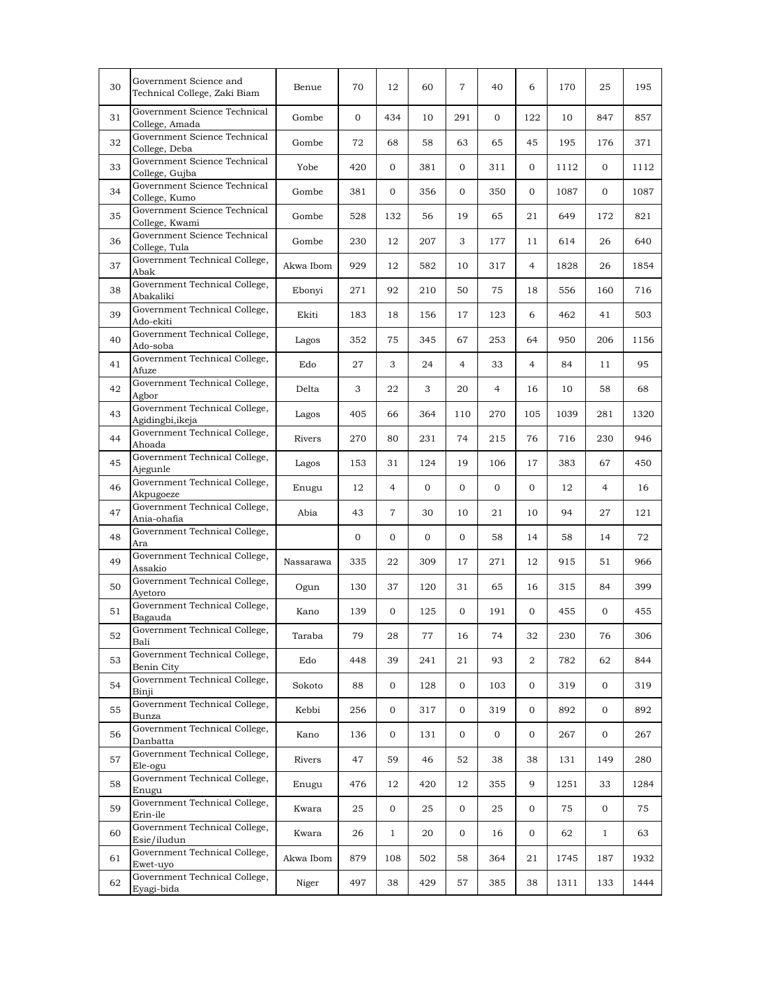| 30 | Government Science and<br>Technical College, Zaki Biam | Benue     | 70  | 12             | 60             | 7            | 40             | 6              | 170  | 25             | 195  |
|----|--------------------------------------------------------|-----------|-----|----------------|----------------|--------------|----------------|----------------|------|----------------|------|
| 31 | Government Science Technical<br>College, Amada         | Gombe     | 0   | 434            | 10             | 291          | 0              | 122            | 10   | 847            | 857  |
| 32 | Government Science Technical<br>College, Deba          | Gombe     | 72  | 68             | 58             | 63           | 65             | 45             | 195  | 176            | 371  |
| 33 | Government Science Technical<br>College, Gujba         | Yobe      | 420 | $\mathbf{0}$   | 381            | 0            | 311            | 0              | 1112 | $\overline{0}$ | 1112 |
| 34 | Government Science Technical<br>College, Kumo          | Gombe     | 381 | $\overline{0}$ | 356            | 0            | 350            | $\overline{0}$ | 1087 | 0              | 1087 |
| 35 | Government Science Technical<br>College, Kwami         | Gombe     | 528 | 132            | 56             | 19           | 65             | 21             | 649  | 172            | 821  |
| 36 | Government Science Technical<br>College, Tula          | Gombe     | 230 | 12             | 207            | 3            | 177            | 11             | 614  | 26             | 640  |
| 37 | Government Technical College,<br>Abak                  | Akwa Ibom | 929 | 12             | 582            | 10           | 317            | $\overline{4}$ | 1828 | 26             | 1854 |
| 38 | Government Technical College,<br>Abakaliki             | Ebonyi    | 271 | 92             | 210            | 50           | 75             | 18             | 556  | 160            | 716  |
| 39 | Government Technical College,<br>Ado-ekiti             | Ekiti     | 183 | 18             | 156            | 17           | 123            | 6              | 462  | 41             | 503  |
| 40 | Government Technical College,<br>Ado-soba              | Lagos     | 352 | 75             | 345            | 67           | 253            | 64             | 950  | 206            | 1156 |
| 41 | Government Technical College,<br>Afuze                 | Edo       | 27  | 3              | 24             | 4            | 33             | $\overline{4}$ | 84   | 11             | 95   |
| 42 | Government Technical College,<br>Agbor                 | Delta     | 3   | 22             | 3              | 20           | $\overline{4}$ | 16             | 10   | 58             | 68   |
| 43 | Government Technical College,<br>Agidingbi,ikeja       | Lagos     | 405 | 66             | 364            | 110          | 270            | 105            | 1039 | 281            | 1320 |
| 44 | Government Technical College,<br>Ahoada                | Rivers    | 270 | 80             | 231            | 74           | 215            | 76             | 716  | 230            | 946  |
| 45 | Government Technical College,<br>Ajegunle              | Lagos     | 153 | 31             | 124            | 19           | 106            | 17             | 383  | 67             | 450  |
| 46 | Government Technical College,<br>Akpugoeze             | Enugu     | 12  | $\overline{4}$ | $\overline{0}$ | $\mathbf{0}$ | $\overline{0}$ | $\overline{0}$ | 12   | $\overline{4}$ | 16   |
| 47 | Government Technical College,<br>Ania-ohafia           | Abia      | 43  | $\overline{7}$ | 30             | 10           | 21             | 10             | 94   | 27             | 121  |
| 48 | Government Technical College,<br>Ara                   |           | 0   | $\overline{0}$ | 0              | 0            | 58             | 14             | 58   | 14             | 72   |
| 49 | Government Technical College,<br>Assakio               | Nassarawa | 335 | 22             | 309            | 17           | 271            | 12             | 915  | 51             | 966  |
| 50 | Government Technical College,<br>Avetoro               | Ogun      | 130 | 37             | 120            | 31           | 65             | 16             | 315  | 84             | 399  |
| 51 | Government Technical College,<br>Bagauda               | Kano      | 139 | $\overline{0}$ | 125            | 0            | 191            | $\mathbf{0}$   | 455  | $\mathbf 0$    | 455  |
| 52 | Government Technical College,<br>Bali                  | Taraba    | 79  | 28             | 77             | 16           | 74             | 32             | 230  | 76             | 306  |
| 53 | Government Technical College,<br>Benin City            | Edo       | 448 | 39             | 241            | 21           | 93             | $\overline{2}$ | 782  | 62             | 844  |
| 54 | Government Technical College,<br>Binji                 | Sokoto    | 88  | 0              | 128            | 0            | 103            | 0              | 319  | 0              | 319  |
| 55 | Government Technical College,<br>Bunza                 | Kebbi     | 256 | 0              | 317            | 0            | 319            | $\overline{0}$ | 892  | 0              | 892  |
| 56 | Government Technical College,<br>Danbatta              | Kano      | 136 | 0              | 131            | $\mathbf 0$  | 0              | $\overline{0}$ | 267  | $\mathbf{0}$   | 267  |
| 57 | Government Technical College,<br>Ele-ogu               | Rivers    | 47  | 59             | 46             | 52           | 38             | 38             | 131  | 149            | 280  |
| 58 | Government Technical College,<br>Enugu                 | Enugu     | 476 | 12             | 420            | 12           | 355            | 9              | 1251 | 33             | 1284 |
| 59 | Government Technical College,<br>Erin-ile              | Kwara     | 25  | $\mathbf{0}$   | 25             | $\mathbf 0$  | 25             | 0              | 75   | 0              | 75   |
| 60 | Government Technical College,<br>Esie/iludun           | Kwara     | 26  | $\mathbf{1}$   | 20             | $\mathbf 0$  | 16             | $\overline{0}$ | 62   | $\mathbf{1}$   | 63   |
| 61 | Government Technical College,<br>Ewet-uyo              | Akwa Ibom | 879 | 108            | 502            | 58           | 364            | 21             | 1745 | 187            | 1932 |
| 62 | Government Technical College,<br>Eyagi-bida            | Niger     | 497 | 38             | 429            | 57           | 385            | 38             | 1311 | 133            | 1444 |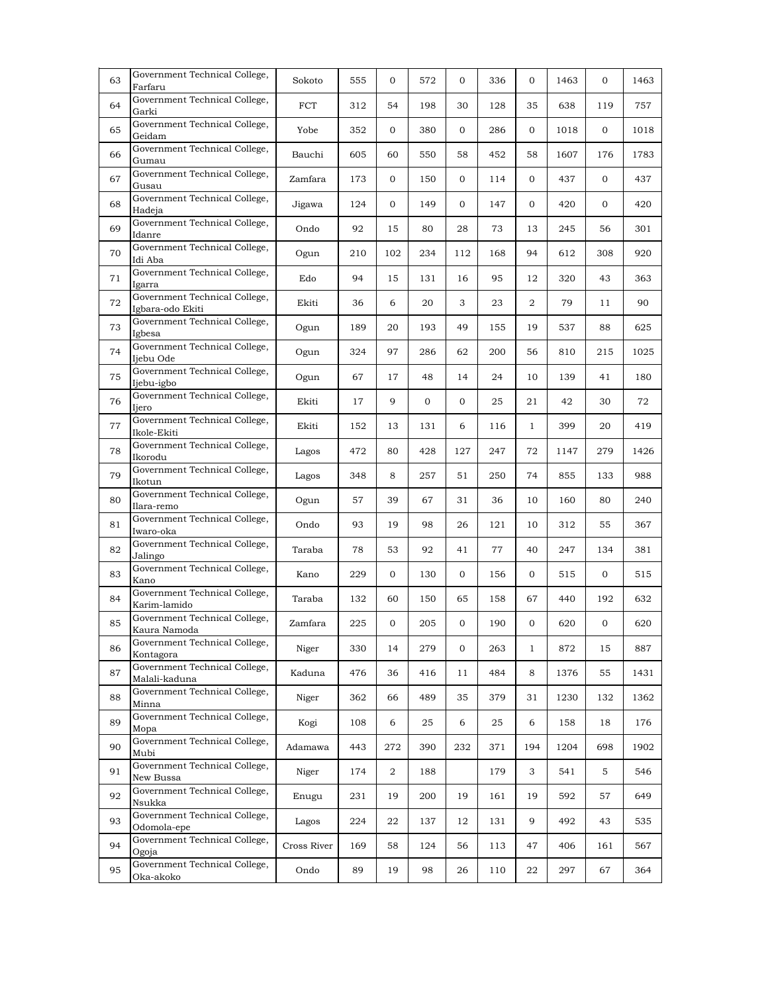| 63 | Government Technical College,<br>Farfaru          | Sokoto      | 555 | 0                | 572 | $\mathbf{0}$ | 336 | 0            | 1463 | 0   | 1463 |
|----|---------------------------------------------------|-------------|-----|------------------|-----|--------------|-----|--------------|------|-----|------|
| 64 | Government Technical College,<br>Garki            | FCT         | 312 | 54               | 198 | 30           | 128 | 35           | 638  | 119 | 757  |
| 65 | Government Technical College,<br>Geidam           | Yobe        | 352 | 0                | 380 | 0            | 286 | 0            | 1018 | 0   | 1018 |
| 66 | Government Technical College,<br>Gumau            | Bauchi      | 605 | 60               | 550 | 58           | 452 | 58           | 1607 | 176 | 1783 |
| 67 | Government Technical College,<br>Gusau            | Zamfara     | 173 | 0                | 150 | 0            | 114 | 0            | 437  | 0   | 437  |
| 68 | Government Technical College,<br>Hadeja           | Jigawa      | 124 | 0                | 149 | 0            | 147 | 0            | 420  | 0   | 420  |
| 69 | Government Technical College,<br>Idanre           | Ondo        | 92  | 15               | 80  | 28           | 73  | 13           | 245  | 56  | 301  |
| 70 | Government Technical College,<br>Idi Aba          | Ogun        | 210 | 102              | 234 | 112          | 168 | 94           | 612  | 308 | 920  |
| 71 | Government Technical College,<br>Igarra           | Edo         | 94  | 15               | 131 | 16           | 95  | 12           | 320  | 43  | 363  |
| 72 | Government Technical College,<br>Igbara-odo Ekiti | Ekiti       | 36  | 6                | 20  | 3            | 23  | 2            | 79   | 11  | 90   |
| 73 | Government Technical College,<br>Igbesa           | Ogun        | 189 | 20               | 193 | 49           | 155 | 19           | 537  | 88  | 625  |
| 74 | Government Technical College,<br>Ijebu Ode        | Ogun        | 324 | 97               | 286 | 62           | 200 | 56           | 810  | 215 | 1025 |
| 75 | Government Technical College,<br>Ijebu-igbo       | Ogun        | 67  | 17               | 48  | 14           | 24  | 10           | 139  | 41  | 180  |
| 76 | Government Technical College,<br>Ijero            | Ekiti       | 17  | 9                | 0   | 0            | 25  | 21           | 42   | 30  | 72   |
| 77 | Government Technical College,<br>Ikole-Ekiti      | Ekiti       | 152 | 13               | 131 | 6            | 116 | $\mathbf{1}$ | 399  | 20  | 419  |
| 78 | Government Technical College,<br>Ikorodu          | Lagos       | 472 | 80               | 428 | 127          | 247 | 72           | 1147 | 279 | 1426 |
| 79 | Government Technical College,<br>Ikotun           | Lagos       | 348 | 8                | 257 | 51           | 250 | 74           | 855  | 133 | 988  |
| 80 | Government Technical College,<br>Ilara-remo       | Ogun        | 57  | 39               | 67  | 31           | 36  | 10           | 160  | 80  | 240  |
| 81 | Government Technical College,<br>Iwaro-oka        | Ondo        | 93  | 19               | 98  | 26           | 121 | 10           | 312  | 55  | 367  |
| 82 | Government Technical College,<br>Jalingo          | Taraba      | 78  | 53               | 92  | 41           | 77  | 40           | 247  | 134 | 381  |
| 83 | Government Technical College,<br>Kano             | Kano        | 229 | 0                | 130 | 0            | 156 | 0            | 515  | 0   | 515  |
| 84 | Government Technical College,<br>Karim-lamido     | Taraba      | 132 | 60               | 150 | 65           | 158 | 67           | 440  | 192 | 632  |
| 85 | Government Technical College,<br>Kaura Namoda     | Zamfara     | 225 | 0                | 205 | 0            | 190 | 0            | 620  | 0   | 620  |
| 86 | Government Technical College,<br>Kontagora        | Niger       | 330 | 14               | 279 | 0            | 263 | $\mathbf{1}$ | 872  | 15  | 887  |
| 87 | Government Technical College,<br>Malali-kaduna    | Kaduna      | 476 | 36               | 416 | 11           | 484 | 8            | 1376 | 55  | 1431 |
| 88 | Government Technical College,<br>Minna            | Niger       | 362 | 66               | 489 | 35           | 379 | 31           | 1230 | 132 | 1362 |
| 89 | Government Technical College,<br>Mopa             | Kogi        | 108 | 6                | 25  | 6            | 25  | 6            | 158  | 18  | 176  |
| 90 | Government Technical College,<br>Mubi             | Adamawa     | 443 | 272              | 390 | 232          | 371 | 194          | 1204 | 698 | 1902 |
| 91 | Government Technical College,<br>New Bussa        | Niger       | 174 | $\boldsymbol{2}$ | 188 |              | 179 | 3            | 541  | 5   | 546  |
| 92 | Government Technical College,<br>Nsukka           | Enugu       | 231 | 19               | 200 | 19           | 161 | 19           | 592  | 57  | 649  |
| 93 | Government Technical College,<br>Odomola-epe      | Lagos       | 224 | 22               | 137 | 12           | 131 | 9            | 492  | 43  | 535  |
| 94 | Government Technical College,<br>Ogoja            | Cross River | 169 | 58               | 124 | 56           | 113 | 47           | 406  | 161 | 567  |
| 95 | Government Technical College,<br>Oka-akoko        | Ondo        | 89  | 19               | 98  | 26           | 110 | 22           | 297  | 67  | 364  |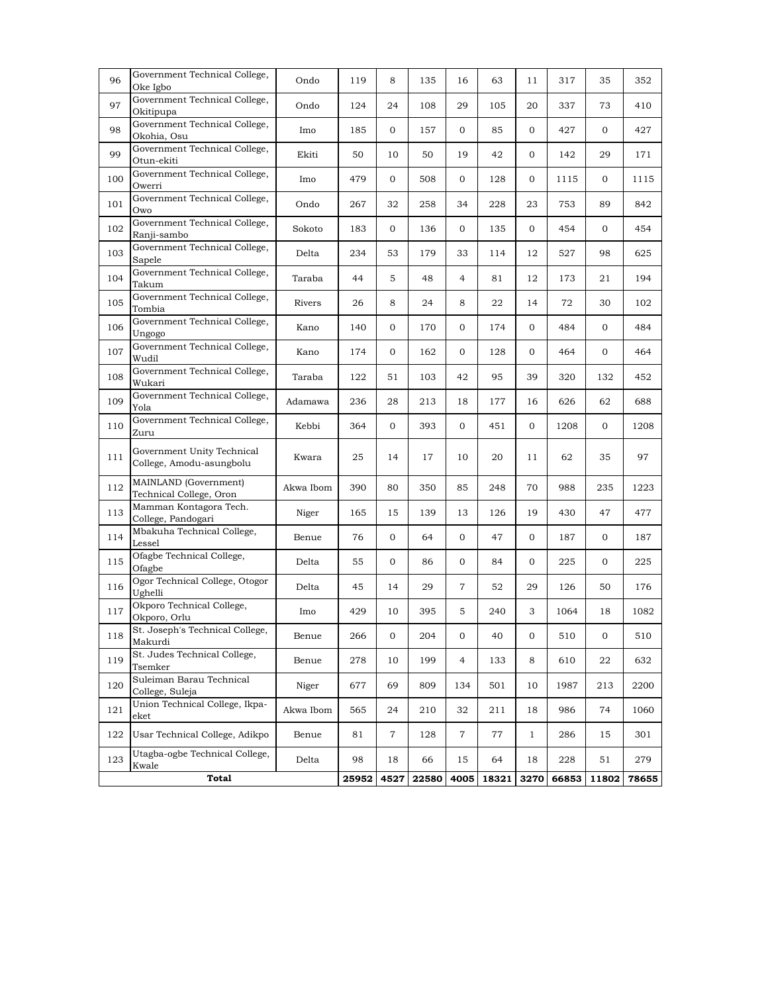| 96  | Government Technical College,<br>Oke Igbo              | Ondo      | 119   | 8              | 135   | 16             | 63    | 11             | 317   | 35             | 352   |
|-----|--------------------------------------------------------|-----------|-------|----------------|-------|----------------|-------|----------------|-------|----------------|-------|
| 97  | Government Technical College,<br>Okitipupa             | Ondo      | 124   | 24             | 108   | 29             | 105   | 20             | 337   | 73             | 410   |
| 98  | Government Technical College,<br>Okohia, Osu           | Imo       | 185   | $\overline{0}$ | 157   | 0              | 85    | $\overline{0}$ | 427   | $\overline{0}$ | 427   |
| 99  | Government Technical College,<br>Otun-ekiti            | Ekiti     | 50    | 10             | 50    | 19             | 42    | $\overline{0}$ | 142   | 29             | 171   |
| 100 | Government Technical College,<br>Owerri                | Imo       | 479   | $\overline{0}$ | 508   | 0              | 128   | 0              | 1115  | $\overline{0}$ | 1115  |
| 101 | Government Technical College,<br>Owo                   | Ondo      | 267   | 32             | 258   | 34             | 228   | 23             | 753   | 89             | 842   |
| 102 | Government Technical College,<br>Ranji-sambo           | Sokoto    | 183   | $\overline{0}$ | 136   | 0              | 135   | $\overline{0}$ | 454   | $\mathbf{0}$   | 454   |
| 103 | Government Technical College,<br>Sapele                | Delta     | 234   | 53             | 179   | 33             | 114   | 12             | 527   | 98             | 625   |
| 104 | Government Technical College,<br>Takum                 | Taraba    | 44    | 5              | 48    | 4              | 81    | 12             | 173   | 21             | 194   |
| 105 | Government Technical College,<br>Tombia                | Rivers    | 26    | 8              | 24    | 8              | 22    | 14             | 72    | 30             | 102   |
| 106 | Government Technical College,<br>Ungogo                | Kano      | 140   | 0              | 170   | 0              | 174   | $\mathbf 0$    | 484   | $\overline{0}$ | 484   |
| 107 | Government Technical College,<br>Wudil                 | Kano      | 174   | $\mathbf{O}$   | 162   | 0              | 128   | 0              | 464   | $\overline{0}$ | 464   |
| 108 | Government Technical College,<br>Wukari                | Taraba    | 122   | 51             | 103   | 42             | 95    | 39             | 320   | 132            | 452   |
| 109 | Government Technical College,<br>Yola                  | Adamawa   | 236   | 28             | 213   | 18             | 177   | 16             | 626   | 62             | 688   |
| 110 | Government Technical College,<br>Zuru                  | Kebbi     | 364   | $\mathbf{O}$   | 393   | 0              | 451   | $\mathbf{0}$   | 1208  | $\overline{0}$ | 1208  |
| 111 | Government Unity Technical<br>College, Amodu-asungbolu | Kwara     | 25    | 14             | 17    | 10             | 20    | 11             | 62    | 35             | 97    |
| 112 | MAINLAND (Government)<br>Technical College, Oron       | Akwa Ibom | 390   | 80             | 350   | 85             | 248   | 70             | 988   | 235            | 1223  |
| 113 | Mamman Kontagora Tech.<br>College, Pandogari           | Niger     | 165   | 15             | 139   | 13             | 126   | 19             | 430   | 47             | 477   |
| 114 | Mbakuha Technical College,<br>Lessel                   | Benue     | 76    | 0              | 64    | 0              | 47    | 0              | 187   | $\mathbf 0$    | 187   |
| 115 | Ofagbe Technical College,<br>Ofagbe                    | Delta     | 55    | $\mathbf{O}$   | 86    | 0              | 84    | $\mathbf{0}$   | 225   | $\overline{0}$ | 225   |
| 116 | Ogor Technical College, Otogor<br>Ughelli              | Delta     | 45    | 14             | 29    | 7              | 52    | 29             | 126   | 50             | 176   |
| 117 | Okporo Technical College,<br>Okporo, Orlu              | Imo       | 429   | 10             | 395   | 5              | 240   | 3              | 1064  | 18             | 1082  |
| 118 | St. Joseph's Technical College,<br>Makurdi             | Benue     | 266   | 0              | 204   | $\mathbf 0$    | 40    | $\mathbf 0$    | 510   | $\mathbf{O}$   | 510   |
| 119 | St. Judes Technical College,<br>Tsemker                | Benue     | 278   | 10             | 199   | 4              | 133   | 8              | 610   | 22             | 632   |
| 120 | Suleiman Barau Technical<br>College, Suleja            | Niger     | 677   | 69             | 809   | 134            | 501   | 10             | 1987  | 213            | 2200  |
| 121 | Union Technical College, Ikpa-<br>eket                 | Akwa Ibom | 565   | 24             | 210   | 32             | 211   | 18             | 986   | 74             | 1060  |
| 122 | Usar Technical College, Adikpo                         | Benue     | 81    | $\overline{7}$ | 128   | $\overline{7}$ | 77    | $\mathbf{1}$   | 286   | 15             | 301   |
| 123 | Utagba-ogbe Technical College,<br>Kwale                | Delta     | 98    | 18             | 66    | 15             | 64    | 18             | 228   | 51             | 279   |
|     | <b>Total</b>                                           |           | 25952 | 4527           | 22580 | 4005           | 18321 | 3270           | 66853 | 11802          | 78655 |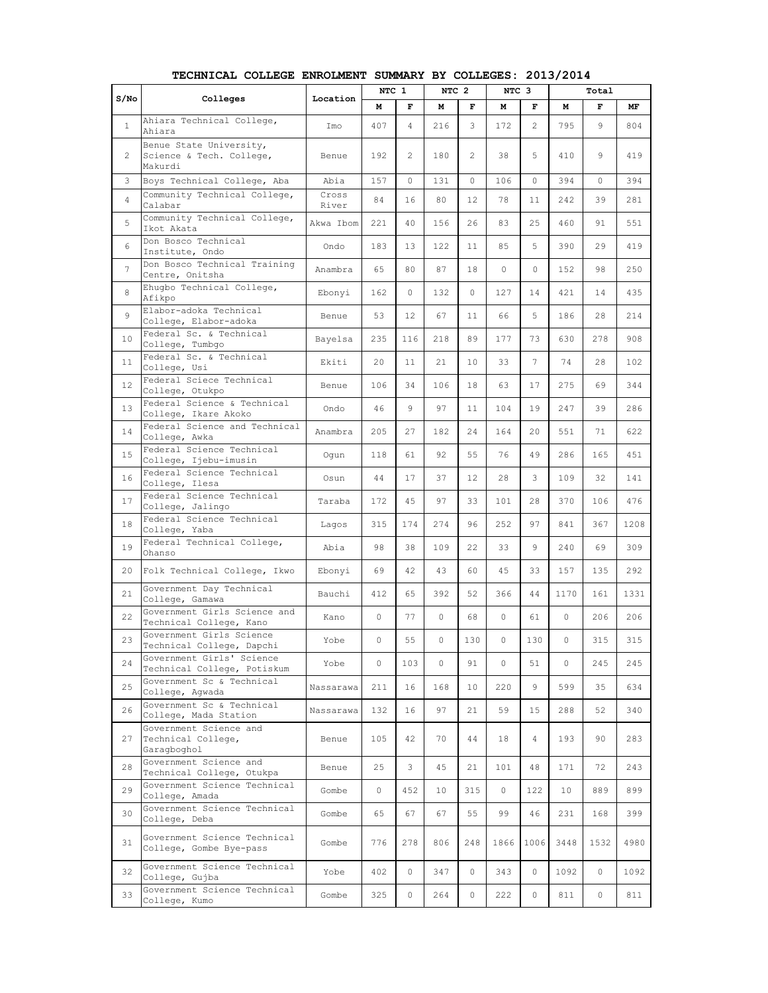| S/NO           | Colleges                                                       | Location       | NTC 1 |                | NTC <sub>2</sub> |                | NTC 3   |                |                 | Total    |      |
|----------------|----------------------------------------------------------------|----------------|-------|----------------|------------------|----------------|---------|----------------|-----------------|----------|------|
|                |                                                                |                | м     | F              | м                | F              | м       | F              | м               | F        | MF   |
| $\mathbf{1}$   | Ahiara Technical College,<br>Ahiara                            | Imo            | 407   | $\overline{4}$ | 216              | 3              | 172     | $\overline{2}$ | 795             | 9        | 804  |
| 2              | Benue State University,<br>Science & Tech. College,<br>Makurdi | Benue          | 192   | 2              | 180              | $\overline{2}$ | 38      | 5              | 410             | 9        | 419  |
| 3              | Boys Technical College, Aba                                    | Abia           | 157   | $\Omega$       | 131              | 0              | 106     | 0              | 394             | $\Omega$ | 394  |
| $\overline{4}$ | Community Technical College,<br>Calabar                        | Cross<br>River | 84    | 16             | 80               | 12             | 78      | 11             | 242             | 39       | 281  |
| 5              | Community Technical College,<br>Ikot Akata                     | Akwa Ibom      | 221   | 40             | 156              | 26             | 83      | 25             | 460             | 91       | 551  |
| 6              | Don Bosco Technical<br>Institute, Ondo                         | Ondo           | 183   | 13             | 122              | 11             | 85      | 5              | 390             | 29       | 419  |
| 7              | Don Bosco Technical Training<br>Centre, Onitsha                | Anambra        | 65    | 80             | 87               | 18             | 0       | $\circ$        | 152             | 98       | 250  |
| 8              | Ehugbo Technical College,<br>Afikpo                            | Ebonyi         | 162   | $\Omega$       | 132              | 0              | 127     | 14             | 421             | 14       | 435  |
| 9              | Elabor-adoka Technical<br>College, Elabor-adoka                | Benue          | 53    | 12             | 67               | 11             | 66      | 5              | 186             | 28       | 214  |
| 10             | Federal Sc. & Technical<br>College, Tumbgo                     | Bayelsa        | 235   | 116            | 218              | 89             | 177     | 73             | 630             | 278      | 908  |
| 11             | Federal Sc. & Technical<br>College, Usi                        | Ekiti          | 20    | 11             | 21               | 10             | 33      | 7              | 74              | 28       | 102  |
| 12             | Federal Sciece Technical<br>College, Otukpo                    | Benue          | 106   | 34             | 106              | 18             | 63      | 17             | 275             | 69       | 344  |
| 13             | Federal Science & Technical<br>College, Ikare Akoko            | Ondo           | 46    | 9              | 97               | 11             | 104     | 19             | 247             | 39       | 286  |
| 14             | Federal Science and Technical<br>College, Awka                 | Anambra        | 205   | 27             | 182              | 24             | 164     | 20             | 551             | 71       | 622  |
| 15             | Federal Science Technical<br>College, Ijebu-imusin             | Oqun           | 118   | 61             | 92               | 55             | 76      | 49             | 286             | 165      | 451  |
| 16             | Federal Science Technical<br>College, Ilesa                    | Osun           | 44    | 17             | 37               | 12             | 28      | 3              | 109             | 32       | 141  |
| 17             | Federal Science Technical<br>College, Jalingo                  | Taraba         | 172   | 45             | 97               | 33             | 101     | 28             | 370             | 106      | 476  |
| 18             | Federal Science Technical<br>College, Yaba                     | Lagos          | 315   | 174            | 274              | 96             | 252     | 97             | 841             | 367      | 1208 |
| 19             | Federal Technical College,<br>Ohanso                           | Abia           | 98    | 38             | 109              | 22             | 33      | 9              | 240             | 69       | 309  |
| 20             | Folk Technical College, Ikwo                                   | Ebonyi         | 69    | 42             | 43               | 60             | 45      | 33             | 157             | 135      | 292  |
| 21             | Government Day Technical<br>College, Gamawa                    | Bauchi         | 412   | 65             | 392              | 52             | 366     | 44             | 1170            | 161      | 1331 |
| 22             | Government Girls Science and<br>Technical College, Kano        | Kano           | 0     | 77             | 0                | 68             | 0       | 61             | 0               | 206      | 206  |
| 23             | Government Girls Science<br>Technical College, Dapchi          | Yobe           | 0     | 55             | 0                | 130            | $\circ$ | 130            | $\circ$         | 315      | 315  |
| 24             | Government Girls' Science<br>Technical College, Potiskum       | Yobe           | 0     | 103            | 0                | 91             | $\circ$ | 51             | 0               | 245      | 245  |
| 25             | Government Sc & Technical<br>College, Agwada                   | Nassarawa      | 211   | 16             | 168              | 10             | 220     | 9              | 599             | 35       | 634  |
| 26             | Government Sc & Technical<br>College, Mada Station             | Nassarawa      | 132   | 16             | 97               | 21             | 59      | 15             | 288             | 52       | 340  |
| 27             | Government Science and<br>Technical College,<br>Garagboghol    | Benue          | 105   | 42             | 70               | 44             | 18      | 4              | 193             | 90       | 283  |
| 28             | Government Science and<br>Technical College, Otukpa            | Benue          | 25    | 3              | 45               | 21             | 101     | 48             | 171             | 72       | 243  |
| 29             | Government Science Technical<br>College, Amada                 | Gombe          | 0     | 452            | 10               | 315            | 0       | 122            | 10 <sub>1</sub> | 889      | 899  |
| 30             | Government Science Technical<br>College, Deba                  | Gombe          | 65    | 67             | 67               | 55             | 99      | 46             | 231             | 168      | 399  |
| 31             | Government Science Technical<br>College, Gombe Bye-pass        | Gombe          | 776   | 278            | 806              | 248            | 1866    | 1006           | 3448            | 1532     | 4980 |
| 32             | Government Science Technical<br>College, Gujba                 | Yobe           | 402   | $\circ$        | 347              | 0              | 343     | 0              | 1092            | 0        | 1092 |
| 33             | Government Science Technical<br>College, Kumo                  | Gombe          | 325   | 0              | 264              | 0              | 222     | 0              | 811             | 0        | 811  |

**TECHNICAL COLLEGE ENROLMENT SUMMARY BY COLLEGES: 2013/2014**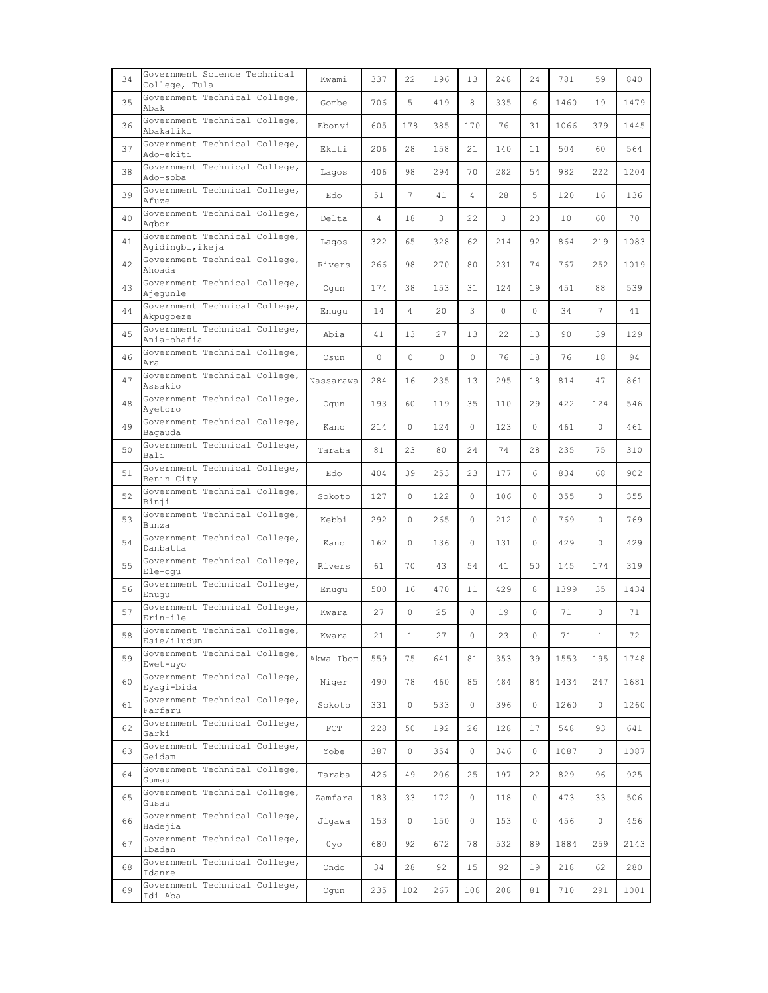| 34 | Government Science Technical<br>College, Tula     | Kwami     | 337     | 22           | 196      | 13  | 248 | 24 | 781  | 59              | 840  |
|----|---------------------------------------------------|-----------|---------|--------------|----------|-----|-----|----|------|-----------------|------|
| 35 | Government Technical College,<br>Abak             | Gombe     | 706     | 5            | 419      | 8   | 335 | 6  | 1460 | 19              | 1479 |
| 36 | Government Technical College,<br>Abakaliki        | Ebonyi    | 605     | 178          | 385      | 170 | 76  | 31 | 1066 | 379             | 1445 |
| 37 | Government Technical College,<br>Ado-ekiti        | Ekiti     | 206     | 28           | 158      | 21  | 140 | 11 | 504  | 60              | 564  |
| 38 | Government Technical College,<br>Ado-soba         | Lagos     | 406     | 98           | 294      | 70  | 282 | 54 | 982  | 222             | 1204 |
| 39 | Government Technical College,<br>Afuze            | Edo       | 51      | 7            | 41       | 4   | 28  | 5  | 120  | 16              | 136  |
| 40 | Government Technical College,<br>Agbor            | Delta     | 4       | 18           | 3        | 22  | 3   | 20 | 10   | 60              | 70   |
| 41 | Government Technical College,<br>Agidingbi, ikeja | Lagos     | 322     | 65           | 328      | 62  | 214 | 92 | 864  | 219             | 1083 |
| 42 | Government Technical College,<br>Ahoada           | Rivers    | 266     | 98           | 270      | 80  | 231 | 74 | 767  | 252             | 1019 |
| 43 | Government Technical College,<br>Ajequnle         | Oqun      | 174     | 38           | 153      | 31  | 124 | 19 | 451  | 88              | 539  |
| 44 | Government Technical College,<br>Akpugoeze        | Enugu     | 14      | 4            | 20       | 3   | 0   | 0  | 34   | $7\overline{ }$ | 41   |
| 45 | Government Technical College,<br>Ania-ohafia      | Abia      | 41      | 13           | 27       | 13  | 22  | 13 | 90   | 39              | 129  |
| 46 | Government Technical College,<br>Ara              | Osun      | $\circ$ | 0            | $\Omega$ | 0   | 76  | 18 | 76   | 18              | 94   |
| 47 | Government Technical College,<br>Assakio          | Nassarawa | 284     | 16           | 235      | 13  | 295 | 18 | 814  | 47              | 861  |
| 48 | Government Technical College,<br>Avetoro          | Oqun      | 193     | 60           | 119      | 35  | 110 | 29 | 422  | 124             | 546  |
| 49 | Government Technical College,<br>Bagauda          | Kano      | 214     | $\Omega$     | 124      | 0   | 123 | 0  | 461  | 0               | 461  |
| 50 | Government Technical College,<br>Bali             | Taraba    | 81      | 23           | 80       | 24  | 74  | 28 | 235  | 75              | 310  |
| 51 | Government Technical College,<br>Benin City       | Edo       | 404     | 39           | 253      | 23  | 177 | 6  | 834  | 68              | 902  |
| 52 | Government Technical College,<br>Binji            | Sokoto    | 127     | $\Omega$     | 122      | 0   | 106 | 0  | 355  | 0               | 355  |
| 53 | Government Technical College,<br>Bunza            | Kebbi     | 292     | $\Omega$     | 265      | 0   | 212 | 0  | 769  | 0               | 769  |
| 54 | Government Technical College,<br>Danbatta         | Kano      | 162     | 0            | 136      | 0   | 131 | 0  | 429  | 0               | 429  |
| 55 | Government Technical College,<br>Ele-oqu          | Rivers    | 61      | 70           | 43       | 54  | 41  | 50 | 145  | 174             | 319  |
| 56 | Government Technical College,<br>Enuqu            | Enuqu     | 500     | 16           | 470      | 11  | 429 | 8  | 1399 | 35              | 1434 |
| 57 | Government Technical College,<br>Erin-ile         | Kwara     | 27      | 0            | 25       | 0   | 19  | 0  | 71   | 0               | 71   |
| 58 | Government Technical College,<br>Esie/iludun      | Kwara     | 21      | $\mathbf{1}$ | 27       | 0   | 23  | 0  | 71   | $\mathbf{1}$    | 72   |
| 59 | Government Technical College,<br>Ewet-uvo         | Akwa Ibom | 559     | 75           | 641      | 81  | 353 | 39 | 1553 | 195             | 1748 |
| 60 | Government Technical College,<br>Eyagi-bida       | Niger     | 490     | 78           | 460      | 85  | 484 | 84 | 1434 | 247             | 1681 |
| 61 | Government Technical College,<br>Farfaru          | Sokoto    | 331     | 0            | 533      | 0   | 396 | 0  | 1260 | 0               | 1260 |
| 62 | Government Technical College,<br>Garki            | FCT       | 228     | 50           | 192      | 26  | 128 | 17 | 548  | 93              | 641  |
| 63 | Government Technical College,<br>Geidam           | Yobe      | 387     | 0            | 354      | 0   | 346 | 0  | 1087 | 0               | 1087 |
| 64 | Government Technical College,<br>Gumau            | Taraba    | 426     | 49           | 206      | 25  | 197 | 22 | 829  | 96              | 925  |
| 65 | Government Technical College,<br>Gusau            | Zamfara   | 183     | 33           | 172      | 0   | 118 | 0  | 473  | 33              | 506  |
| 66 | Government Technical College,<br>Hadejia          | Jigawa    | 153     | 0            | 150      | 0   | 153 | 0  | 456  | 0               | 456  |
| 67 | Government Technical College,<br>Ibadan           | 0yo       | 680     | 92           | 672      | 78  | 532 | 89 | 1884 | 259             | 2143 |
| 68 | Government Technical College,<br>Idanre           | Ondo      | 34      | 28           | 92       | 15  | 92  | 19 | 218  | 62              | 280  |
| 69 | Government Technical College,<br>Idi Aba          | Ogun      | 235     | 102          | 267      | 108 | 208 | 81 | 710  | 291             | 1001 |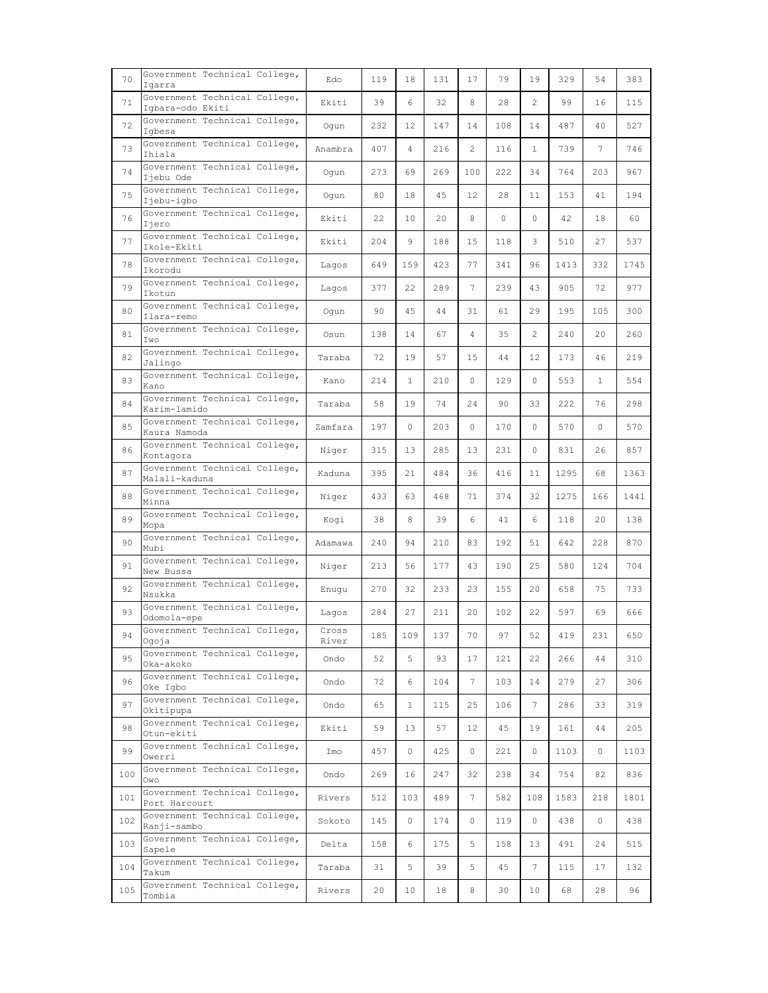| 70  | Government Technical College,<br>Igarra           | Edo            | 119 | 18              | 131 | 17      | 79  | 19             | 329  | 54              | 383  |
|-----|---------------------------------------------------|----------------|-----|-----------------|-----|---------|-----|----------------|------|-----------------|------|
| 71  | Government Technical College,<br>Iqbara-odo Ekiti | Ekiti          | 39  | 6               | 32  | 8       | 28  | $\overline{2}$ | 99   | 16              | 115  |
| 72  | Government Technical College,<br>Igbesa           | Oqun           | 232 | $12 \,$         | 147 | 14      | 108 | 14             | 487  | 40              | 527  |
| 73  | Government Technical College,<br>Ihiala           | Anambra        | 407 | 4               | 216 | 2       | 116 | $\mathbf{1}$   | 739  | $7\phantom{.0}$ | 746  |
| 74  | Government Technical College,<br>Ijebu Ode        | Oqun           | 273 | 69              | 269 | 100     | 222 | 34             | 764  | 203             | 967  |
| 75  | Government Technical College,<br>Ijebu-igbo       | Oqun           | 80  | 18              | 45  | 12      | 28  | 11             | 153  | 41              | 194  |
| 76  | Government Technical College,<br>Ijero            | Ekiti          | 22  | 10              | 20  | 8       | 0   | 0              | 42   | 18              | 60   |
| 77  | Government Technical College,<br>Ikole-Ekiti      | Ekiti          | 204 | 9               | 188 | 15      | 118 | 3              | 510  | 27              | 537  |
| 78  | Government Technical College,<br>Ikorodu          | Lagos          | 649 | 159             | 423 | 77      | 341 | 96             | 1413 | 332             | 1745 |
| 79  | Government Technical College,<br>Ikotun           | Lagos          | 377 | 22              | 289 | 7       | 239 | 43             | 905  | 72              | 977  |
| 80  | Government Technical College,<br>Ilara-remo       | Oqun           | 90  | 45              | 44  | 31      | 61  | 29             | 195  | 105             | 300  |
| 81  | Government Technical College,<br>Iwo              | Osun           | 138 | 14              | 67  | 4       | 35  | 2              | 240  | 20              | 260  |
| 82  | Government Technical College,<br>Jalingo          | Taraba         | 72  | 19              | 57  | 15      | 44  | 12             | 173  | 46              | 219  |
| 83  | Government Technical College,<br>Kano             | Kano           | 214 | $\mathbf{1}$    | 210 | $\circ$ | 129 | $\circ$        | 553  | $\mathbf{1}$    | 554  |
| 84  | Government Technical College,<br>Karim-lamido     | Taraba         | 58  | 19              | 74  | 24      | 90  | 33             | 222  | 76              | 298  |
| 85  | Government Technical College,<br>Kaura Namoda     | Zamfara        | 197 | 0               | 203 | 0       | 170 | 0              | 570  | 0               | 570  |
| 86  | Government Technical College,<br>Kontagora        | Niger          | 315 | 13              | 285 | 13      | 231 | 0              | 831  | 26              | 857  |
| 87  | Government Technical College,<br>Malali-kaduna    | Kaduna         | 395 | 21              | 484 | 36      | 416 | 11             | 1295 | 68              | 1363 |
| 88  | Government Technical College,<br>Minna            | Niger          | 433 | 63              | 468 | 71      | 374 | 32             | 1275 | 166             | 1441 |
| 89  | Government Technical College,<br>Mopa             | Koqi           | 38  | 8               | 39  | 6       | 41  | 6              | 118  | 20              | 138  |
| 90  | Government Technical College,<br>Mubi             | Adamawa        | 240 | 94              | 210 | 83      | 192 | 51             | 642  | 228             | 870  |
| 91  | Government Technical College,<br>New Bussa        | Niger          | 213 | 56              | 177 | 43      | 190 | 25             | 580  | 124             | 704  |
| 92  | Government Technical College,<br>Nsukka           | Enuqu          | 270 | 32              | 233 | 23      | 155 | 20             | 658  | 75              | 733  |
| 93  | Government Technical College,<br>Odomola-epe      | Lagos          | 284 | 27              | 211 | 20      | 102 | 22             | 597  | 69              | 666  |
| 94  | Government Technical College,<br>Ogoja            | Cross<br>River | 185 | 109             | 137 | 70      | 97  | 52             | 419  | 231             | 650  |
| 95  | Government Technical College,<br>Oka-akoko        | Ondo           | 52  | 5               | 93  | 17      | 121 | 22             | 266  | 44              | 310  |
| 96  | Government Technical College,<br>Oke Iabo         | Ondo           | 72  | 6               | 104 | 7       | 103 | 14             | 279  | 27              | 306  |
| 97  | Government Technical College,<br>Okitipupa        | Ondo           | 65  | $\mathbf{1}$    | 115 | 25      | 106 | 7              | 286  | 33              | 319  |
| 98  | Government Technical College,<br>Otun-ekiti       | Ekiti          | 59  | 13              | 57  | 12      | 45  | 19             | 161  | 44              | 205  |
| 99  | Government Technical College,<br>Owerri           | Imo            | 457 | 0               | 425 | 0       | 221 | 0              | 1103 | 0               | 1103 |
| 100 | Government Technical College,<br>Owo              | Ondo           | 269 | 16              | 247 | 32      | 238 | 34             | 754  | 82              | 836  |
| 101 | Government Technical College,<br>Port Harcourt    | Rivers         | 512 | 103             | 489 | 7       | 582 | 108            | 1583 | 218             | 1801 |
| 102 | Government Technical College,<br>Ranji-sambo      | Sokoto         | 145 | 0               | 174 | 0       | 119 | 0              | 438  | 0               | 438  |
| 103 | Government Technical College,<br>Sapele           | Delta          | 158 | 6               | 175 | 5       | 158 | 13             | 491  | 24              | 515  |
| 104 | Government Technical College,<br>Takum            | Taraba         | 31  | 5               | 39  | 5       | 45  | 7              | 115  | 17              | 132  |
| 105 | Government Technical College,<br>Tombia           | Rivers         | 20  | 10 <sub>o</sub> | 18  | 8       | 30  | 10             | 68   | 28              | 96   |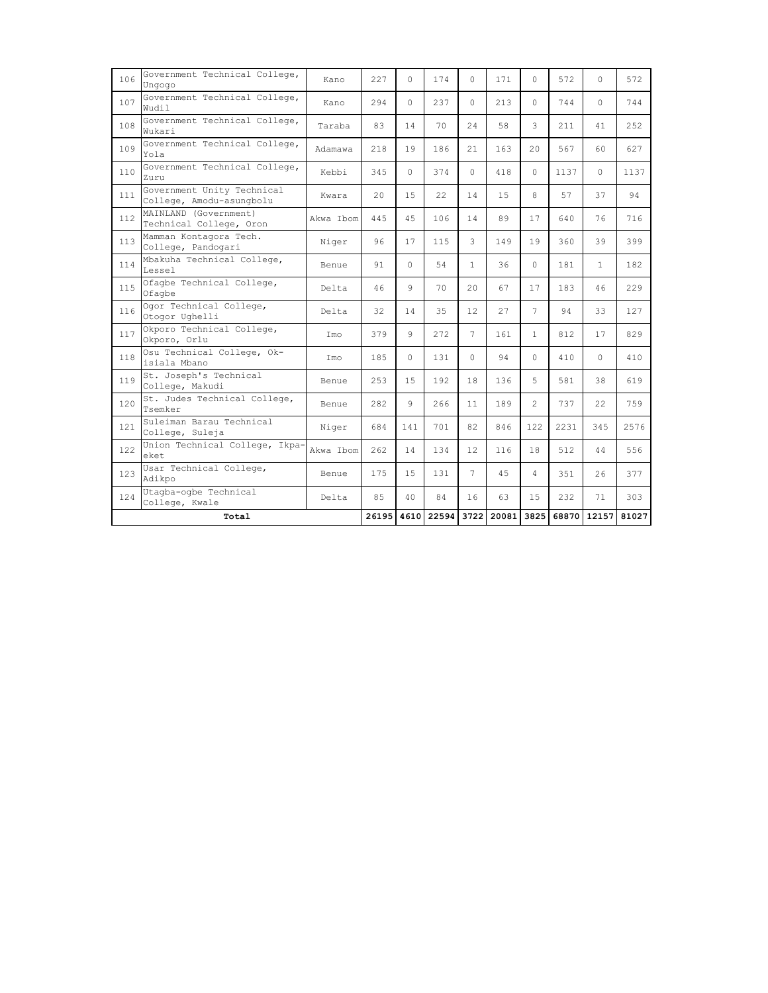| 106 | Government Technical College,<br>Ungogo                | Kano      | 227   | $\Omega$ | 174   | $\Omega$ | 171   | $\Omega$       | 572   | $\cap$       | 572   |
|-----|--------------------------------------------------------|-----------|-------|----------|-------|----------|-------|----------------|-------|--------------|-------|
| 107 | Government Technical College,<br>Wudil                 | Kano      | 294   | $\Omega$ | 237   | $\Omega$ | 213   | $\Omega$       | 744   | $\Omega$     | 744   |
| 108 | Government Technical College,<br>Wukari                | Taraba    | 83    | 14       | 70    | 2.4      | 58    | 3              | 211   | 41           | 252   |
| 109 | Government Technical College,<br>Yola                  | Adamawa   | 218   | 19       | 186   | 21       | 163   | $20 -$         | 567   | 60           | 627   |
| 110 | Government Technical College,<br>Zuru                  | Kebbi     | 345   | $\Omega$ | 374   | $\Omega$ | 418   | $\Omega$       | 1137  | $\Omega$     | 1137  |
| 111 | Government Unity Technical<br>College, Amodu-asungbolu | Kwara     | 20    | 15       | 22    | 14       | 15    | 8              | 57    | 37           | 94    |
| 112 | MAINLAND (Government)<br>Technical College, Oron       | Akwa Thom | 445   | 4.5      | 106   | 14       | 89    | 17             | 640   | 76           | 716   |
| 113 | Mamman Kontagora Tech.<br>College, Pandogari           | Niger     | 96    | 17       | 115   | 3        | 149   | 19             | 360   | 39           | 399   |
| 114 | Mbakuha Technical College,<br>Lessel                   | Benue     | 91    | $\Omega$ | 54    | 1        | 36    | $\Omega$       | 181   | $\mathbf{1}$ | 182   |
| 115 | Ofagbe Technical College,<br>Ofagbe                    | Delta     | 46    | 9        | 70    | 20       | 67    | 17             | 183   | 46           | 229   |
| 116 | Ogor Technical College,<br>Otogor Ughelli              | Delta     | 32    | 14       | 35    | 12       | 27    | $\overline{7}$ | 94    | 33           | 127   |
| 117 | Okporo Technical College,<br>Okporo, Orlu              | Imo       | 379   | 9        | 272   | 7        | 161   | 1.             | 812   | 17           | 829   |
| 118 | Osu Technical College, Ok-<br>isiala Mbano             | Imo       | 185   | $\Omega$ | 131   | $\Omega$ | 94    | $\cap$         | 410   | $\Omega$     | 410   |
| 119 | St. Joseph's Technical<br>College, Makudi              | Benue     | 253   | 15       | 192   | 18       | 136   | 5.             | 581   | 38           | 619   |
| 120 | St. Judes Technical College,<br>Tsemker                | Benue     | 282   | 9        | 266   | 11       | 189   | $\overline{2}$ | 737   | 22           | 759   |
| 121 | Suleiman Barau Technical<br>College, Suleja            | Niger     | 684   | 141      | 701   | 82       | 846   | 122            | 2231  | 345          | 2576  |
| 122 | Union Technical College, Ikpa-<br>eket.                | Akwa Ibom | 262   | 14       | 134   | 12       | 116   | 18             | 512   | 44           | 556   |
| 123 | Usar Technical College,<br>Adikpo                      | Benue     | 175   | 15       | 131   | 7        | 45    | 4              | 351   | 26           | 377   |
| 124 | Utagba-ogbe Technical<br>College, Kwale                | Delta     | 85    | 40       | 84    | 16       | 63    | 15             | 232   | 71           | 303   |
|     | Total                                                  |           | 26195 | 4610     | 22594 | 3722     | 20081 | 3825           | 68870 | 12157        | 81027 |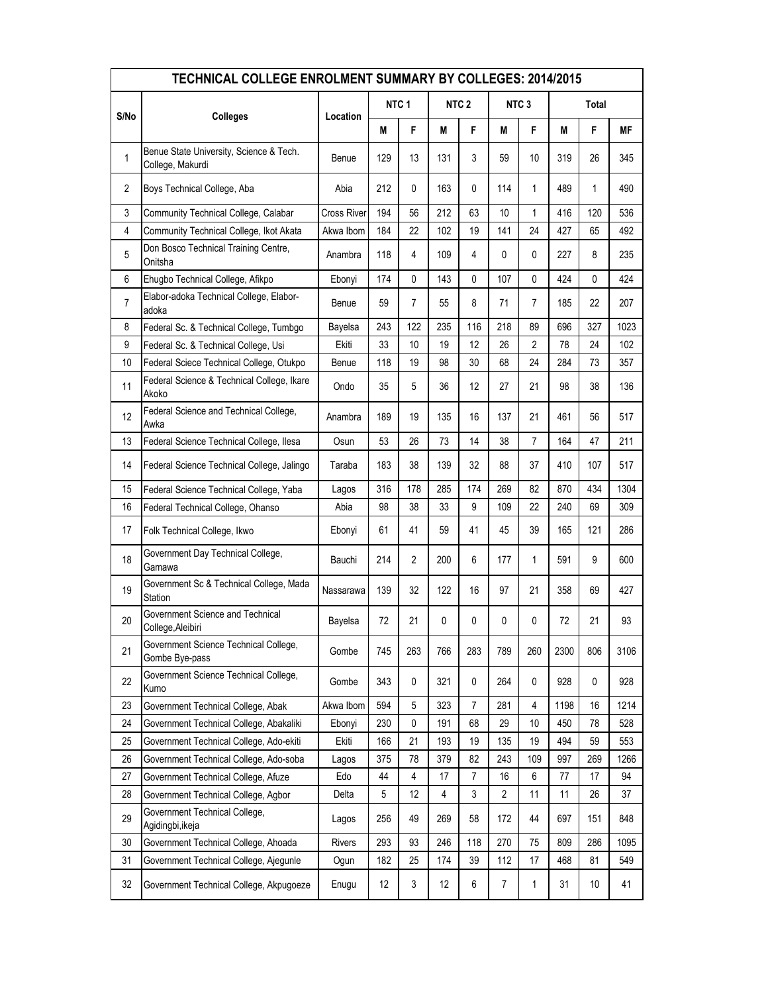| TECHNICAL COLLEGE ENROLMENT SUMMARY BY COLLEGES: 2014/2015 |                                                             |                    |                  |                         |                  |                |                  |                |       |     |      |
|------------------------------------------------------------|-------------------------------------------------------------|--------------------|------------------|-------------------------|------------------|----------------|------------------|----------------|-------|-----|------|
| S/No                                                       | <b>Colleges</b>                                             | Location           | NTC <sub>1</sub> |                         | NTC <sub>2</sub> |                | NTC <sub>3</sub> |                | Total |     |      |
|                                                            |                                                             |                    | М                | F                       | М                | F              | М                | F              | M     | F   | МF   |
| 1                                                          | Benue State University, Science & Tech.<br>College, Makurdi | Benue              | 129              | 13                      | 131              | 3              | 59               | 10             | 319   | 26  | 345  |
| $\overline{2}$                                             | Boys Technical College, Aba                                 | Abia               | 212              | 0                       | 163              | 0              | 114              | 1              | 489   | 1   | 490  |
| 3                                                          | Community Technical College, Calabar                        | <b>Cross River</b> | 194              | 56                      | 212              | 63             | 10               | 1              | 416   | 120 | 536  |
| $\overline{4}$                                             | Community Technical College, Ikot Akata                     | Akwa Ibom          | 184              | 22                      | 102              | 19             | 141              | 24             | 427   | 65  | 492  |
| $\sqrt{5}$                                                 | Don Bosco Technical Training Centre,<br>Onitsha             | Anambra            | 118              | 4                       | 109              | 4              | 0                | 0              | 227   | 8   | 235  |
| 6                                                          | Ehugbo Technical College, Afikpo                            | Ebonyi             | 174              | 0                       | 143              | 0              | 107              | 0              | 424   | 0   | 424  |
| $\overline{7}$                                             | Elabor-adoka Technical College, Elabor-<br>adoka            | Benue              | 59               | 7                       | 55               | 8              | 71               | 7              | 185   | 22  | 207  |
| 8                                                          | Federal Sc. & Technical College, Tumbgo                     | Bayelsa            | 243              | 122                     | 235              | 116            | 218              | 89             | 696   | 327 | 1023 |
| 9                                                          | Federal Sc. & Technical College, Usi                        | Ekiti              | 33               | 10                      | 19               | 12             | 26               | $\overline{2}$ | 78    | 24  | 102  |
| 10                                                         | Federal Sciece Technical College, Otukpo                    | Benue              | 118              | 19                      | 98               | 30             | 68               | 24             | 284   | 73  | 357  |
| 11                                                         | Federal Science & Technical College, Ikare<br>Akoko         | Ondo               | 35               | 5                       | 36               | 12             | 27               | 21             | 98    | 38  | 136  |
| 12                                                         | Federal Science and Technical College,<br>Awka              | Anambra            | 189              | 19                      | 135              | 16             | 137              | 21             | 461   | 56  | 517  |
| 13                                                         | Federal Science Technical College, Ilesa                    | Osun               | 53               | 26                      | 73               | 14             | 38               | $\overline{7}$ | 164   | 47  | 211  |
| 14                                                         | Federal Science Technical College, Jalingo                  | Taraba             | 183              | 38                      | 139              | 32             | 88               | 37             | 410   | 107 | 517  |
| 15                                                         | Federal Science Technical College, Yaba                     | Lagos              | 316              | 178                     | 285              | 174            | 269              | 82             | 870   | 434 | 1304 |
| 16                                                         | Federal Technical College, Ohanso                           | Abia               | 98               | 38                      | 33               | 9              | 109              | 22             | 240   | 69  | 309  |
| 17                                                         | Folk Technical College, Ikwo                                | Ebonyi             | 61               | 41                      | 59               | 41             | 45               | 39             | 165   | 121 | 286  |
| 18                                                         | Government Day Technical College,<br>Gamawa                 | Bauchi             | 214              | $\overline{2}$          | 200              | 6              | 177              | 1              | 591   | 9   | 600  |
| 19                                                         | Government Sc & Technical College, Mada<br>Station          | Nassarawa          | 139              | 32                      | 122              | 16             | 97               | 21             | 358   | 69  | 427  |
| 20                                                         | Government Science and Technical<br>College, Aleibiri       | Bayelsa            | 72               | 21                      | 0                | 0              | 0                | 0              | 72    | 21  | 93   |
| 21                                                         | Government Science Technical College,<br>Gombe Bye-pass     | Gombe              | 745              | 263                     | 766              | 283            | 789              | 260            | 2300  | 806 | 3106 |
| 22                                                         | Government Science Technical College,<br>Kumo               | Gombe              | 343              | 0                       | 321              | 0              | 264              | 0              | 928   | 0   | 928  |
| 23                                                         | Government Technical College, Abak                          | Akwa Ibom          | 594              | 5                       | 323              | 7              | 281              | 4              | 1198  | 16  | 1214 |
| 24                                                         | Government Technical College, Abakaliki                     | Ebonyi             | 230              | 0                       | 191              | 68             | 29               | 10             | 450   | 78  | 528  |
| 25                                                         | Government Technical College, Ado-ekiti                     | Ekiti              | 166              | 21                      | 193              | 19             | 135              | 19             | 494   | 59  | 553  |
| 26                                                         | Government Technical College, Ado-soba                      | Lagos              | 375              | 78                      | 379              | 82             | 243              | 109            | 997   | 269 | 1266 |
| 27                                                         | Government Technical College, Afuze                         | Edo                | 44               | $\overline{\mathbf{4}}$ | 17               | $\overline{7}$ | 16               | 6              | 77    | 17  | 94   |
| 28                                                         | Government Technical College, Agbor                         | Delta              | 5                | 12                      | 4                | 3              | 2                | 11             | 11    | 26  | 37   |
| 29                                                         | Government Technical College,<br>Agidingbi,ikeja            | Lagos              | 256              | 49                      | 269              | 58             | 172              | 44             | 697   | 151 | 848  |
| 30                                                         | Government Technical College, Ahoada                        | Rivers             | 293              | 93                      | 246              | 118            | 270              | 75             | 809   | 286 | 1095 |
| 31                                                         | Government Technical College, Ajegunle                      | Ogun               | 182              | 25                      | 174              | 39             | 112              | 17             | 468   | 81  | 549  |
| 32                                                         | Government Technical College, Akpugoeze                     | Enugu              | 12               | 3                       | 12               | 6              | $\overline{7}$   | 1              | 31    | 10  | 41   |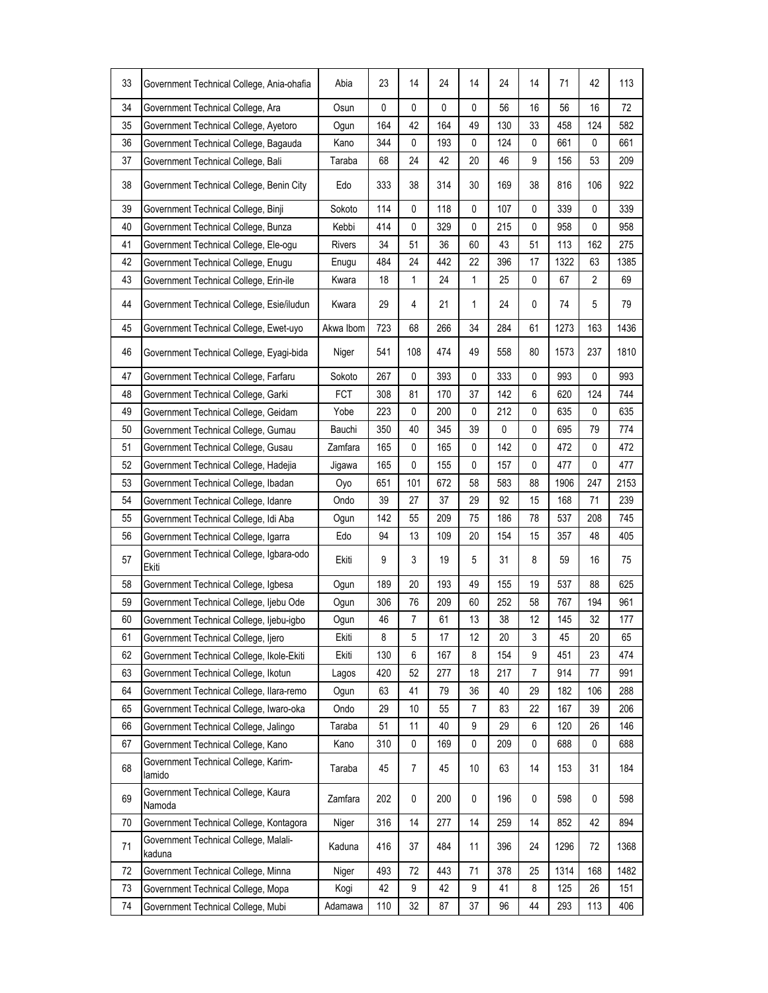| 33 | Government Technical College, Ania-ohafia         | Abia       | 23  | 14             | 24  | 14 | 24  | 14           | 71   | 42             | 113  |
|----|---------------------------------------------------|------------|-----|----------------|-----|----|-----|--------------|------|----------------|------|
| 34 | Government Technical College, Ara                 | Osun       | 0   | $\mathbf 0$    | 0   | 0  | 56  | 16           | 56   | 16             | 72   |
| 35 | Government Technical College, Ayetoro             | Ogun       | 164 | 42             | 164 | 49 | 130 | 33           | 458  | 124            | 582  |
| 36 | Government Technical College, Bagauda             | Kano       | 344 | 0              | 193 | 0  | 124 | $\mathbf{0}$ | 661  | 0              | 661  |
| 37 | Government Technical College, Bali                | Taraba     | 68  | 24             | 42  | 20 | 46  | 9            | 156  | 53             | 209  |
| 38 | Government Technical College, Benin City          | Edo        | 333 | 38             | 314 | 30 | 169 | 38           | 816  | 106            | 922  |
| 39 | Government Technical College, Binji               | Sokoto     | 114 | 0              | 118 | 0  | 107 | 0            | 339  | 0              | 339  |
| 40 | Government Technical College, Bunza               | Kebbi      | 414 | 0              | 329 | 0  | 215 | 0            | 958  | 0              | 958  |
| 41 | Government Technical College, Ele-ogu             | Rivers     | 34  | 51             | 36  | 60 | 43  | 51           | 113  | 162            | 275  |
| 42 | Government Technical College, Enugu               | Enugu      | 484 | 24             | 442 | 22 | 396 | 17           | 1322 | 63             | 1385 |
| 43 | Government Technical College, Erin-ile            | Kwara      | 18  | 1              | 24  | 1  | 25  | 0            | 67   | $\overline{2}$ | 69   |
| 44 | Government Technical College, Esie/iludun         | Kwara      | 29  | 4              | 21  | 1  | 24  | 0            | 74   | 5              | 79   |
| 45 | Government Technical College, Ewet-uyo            | Akwa Ibom  | 723 | 68             | 266 | 34 | 284 | 61           | 1273 | 163            | 1436 |
| 46 | Government Technical College, Eyagi-bida          | Niger      | 541 | 108            | 474 | 49 | 558 | 80           | 1573 | 237            | 1810 |
| 47 | Government Technical College, Farfaru             | Sokoto     | 267 | 0              | 393 | 0  | 333 | $\mathbf{0}$ | 993  | 0              | 993  |
| 48 | Government Technical College, Garki               | <b>FCT</b> | 308 | 81             | 170 | 37 | 142 | 6            | 620  | 124            | 744  |
| 49 | Government Technical College, Geidam              | Yobe       | 223 | 0              | 200 | 0  | 212 | 0            | 635  | 0              | 635  |
| 50 | Government Technical College, Gumau               | Bauchi     | 350 | 40             | 345 | 39 | 0   | 0            | 695  | 79             | 774  |
| 51 | Government Technical College, Gusau               | Zamfara    | 165 | 0              | 165 | 0  | 142 | 0            | 472  | 0              | 472  |
| 52 | Government Technical College, Hadejia             | Jigawa     | 165 | $\mathbf 0$    | 155 | 0  | 157 | $\mathbf{0}$ | 477  | 0              | 477  |
| 53 | Government Technical College, Ibadan              | Oyo        | 651 | 101            | 672 | 58 | 583 | 88           | 1906 | 247            | 2153 |
| 54 | Government Technical College, Idanre              | Ondo       | 39  | 27             | 37  | 29 | 92  | 15           | 168  | 71             | 239  |
| 55 | Government Technical College, Idi Aba             | Ogun       | 142 | 55             | 209 | 75 | 186 | 78           | 537  | 208            | 745  |
| 56 | Government Technical College, Igarra              | Edo        | 94  | 13             | 109 | 20 | 154 | 15           | 357  | 48             | 405  |
| 57 | Government Technical College, Igbara-odo<br>Ekiti | Ekiti      | 9   | 3              | 19  | 5  | 31  | 8            | 59   | 16             | 75   |
| 58 | Government Technical College, Igbesa              | Ogun       | 189 | 20             | 193 | 49 | 155 | 19           | 537  | 88             | 625  |
| 59 | Government Technical College, Ijebu Ode           | Ogun       | 306 | 76             | 209 | 60 | 252 | 58           | 767  | 194            | 961  |
| 60 | Government Technical College, Ijebu-igbo          | Ogun       | 46  | 7              | 61  | 13 | 38  | 12           | 145  | 32             | 177  |
| 61 | Government Technical College, Ijero               | Ekiti      | 8   | 5              | 17  | 12 | 20  | 3            | 45   | 20             | 65   |
| 62 | Government Technical College, Ikole-Ekiti         | Ekiti      | 130 | 6              | 167 | 8  | 154 | 9            | 451  | 23             | 474  |
| 63 | Government Technical College, Ikotun              | Lagos      | 420 | 52             | 277 | 18 | 217 | 7            | 914  | 77             | 991  |
| 64 | Government Technical College, Ilara-remo          | Ogun       | 63  | 41             | 79  | 36 | 40  | 29           | 182  | 106            | 288  |
| 65 | Government Technical College, Iwaro-oka           | Ondo       | 29  | 10             | 55  | 7  | 83  | 22           | 167  | 39             | 206  |
| 66 | Government Technical College, Jalingo             | Taraba     | 51  | 11             | 40  | 9  | 29  | 6            | 120  | 26             | 146  |
| 67 | Government Technical College, Kano                | Kano       | 310 | 0              | 169 | 0  | 209 | 0            | 688  | 0              | 688  |
| 68 | Government Technical College, Karim-<br>lamido    | Taraba     | 45  | $\overline{7}$ | 45  | 10 | 63  | 14           | 153  | 31             | 184  |
| 69 | Government Technical College, Kaura<br>Namoda     | Zamfara    | 202 | 0              | 200 | 0  | 196 | 0            | 598  | 0              | 598  |
| 70 | Government Technical College, Kontagora           | Niger      | 316 | 14             | 277 | 14 | 259 | 14           | 852  | 42             | 894  |
| 71 | Government Technical College, Malali-<br>kaduna   | Kaduna     | 416 | 37             | 484 | 11 | 396 | 24           | 1296 | 72             | 1368 |
| 72 | Government Technical College, Minna               | Niger      | 493 | 72             | 443 | 71 | 378 | 25           | 1314 | 168            | 1482 |
| 73 | Government Technical College, Mopa                | Kogi       | 42  | 9              | 42  | 9  | 41  | 8            | 125  | 26             | 151  |
| 74 | Government Technical College, Mubi                | Adamawa    | 110 | 32             | 87  | 37 | 96  | 44           | 293  | 113            | 406  |